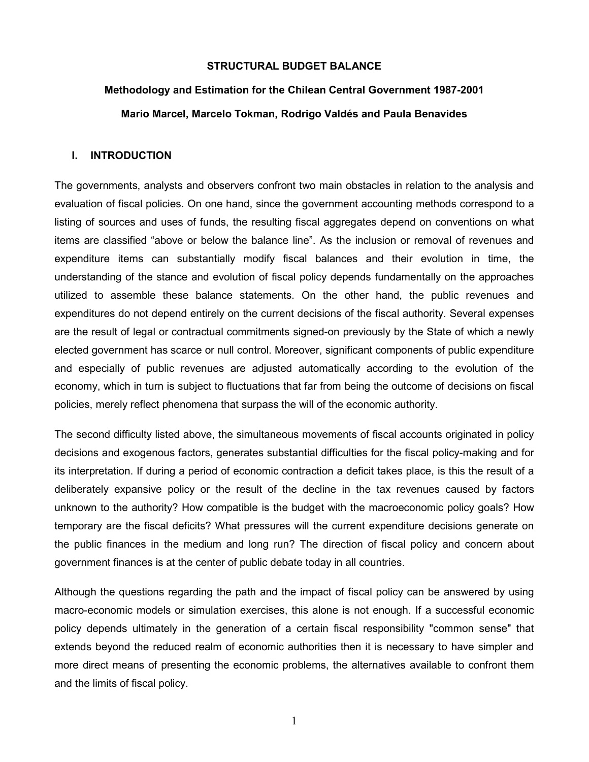## **STRUCTURAL BUDGET BALANCE**

# **Methodology and Estimation for the Chilean Central Government 1987-2001 Mario Marcel, Marcelo Tokman, Rodrigo Valdés and Paula Benavides**

## **I. INTRODUCTION**

The governments, analysts and observers confront two main obstacles in relation to the analysis and evaluation of fiscal policies. On one hand, since the government accounting methods correspond to a listing of sources and uses of funds, the resulting fiscal aggregates depend on conventions on what items are classified "above or below the balance line". As the inclusion or removal of revenues and expenditure items can substantially modify fiscal balances and their evolution in time, the understanding of the stance and evolution of fiscal policy depends fundamentally on the approaches utilized to assemble these balance statements. On the other hand, the public revenues and expenditures do not depend entirely on the current decisions of the fiscal authority. Several expenses are the result of legal or contractual commitments signed-on previously by the State of which a newly elected government has scarce or null control. Moreover, significant components of public expenditure and especially of public revenues are adjusted automatically according to the evolution of the economy, which in turn is subject to fluctuations that far from being the outcome of decisions on fiscal policies, merely reflect phenomena that surpass the will of the economic authority.

The second difficulty listed above, the simultaneous movements of fiscal accounts originated in policy decisions and exogenous factors, generates substantial difficulties for the fiscal policy-making and for its interpretation. If during a period of economic contraction a deficit takes place, is this the result of a deliberately expansive policy or the result of the decline in the tax revenues caused by factors unknown to the authority? How compatible is the budget with the macroeconomic policy goals? How temporary are the fiscal deficits? What pressures will the current expenditure decisions generate on the public finances in the medium and long run? The direction of fiscal policy and concern about government finances is at the center of public debate today in all countries.

Although the questions regarding the path and the impact of fiscal policy can be answered by using macro-economic models or simulation exercises, this alone is not enough. If a successful economic policy depends ultimately in the generation of a certain fiscal responsibility "common sense" that extends beyond the reduced realm of economic authorities then it is necessary to have simpler and more direct means of presenting the economic problems, the alternatives available to confront them and the limits of fiscal policy.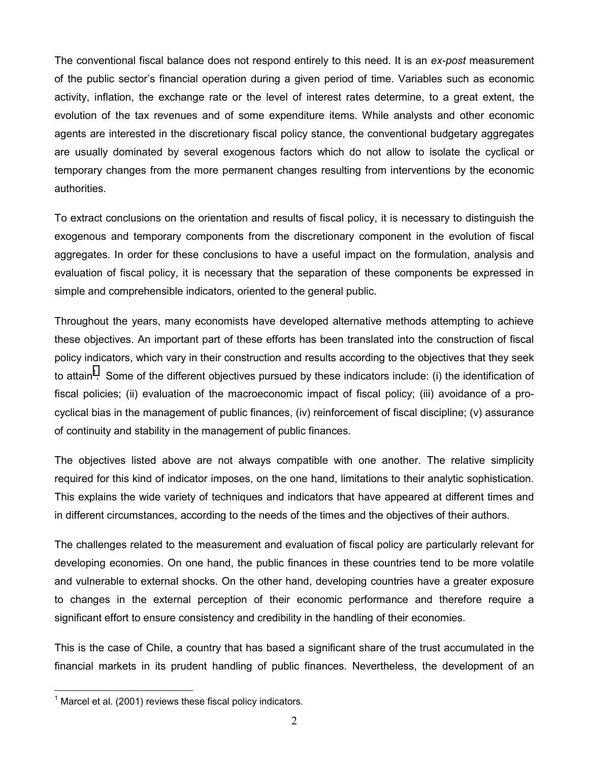The conventional fiscal balance does not respond entirely to this need. It is an *ex-post* measurement of the public sector's financial operation during a given period of time. Variables such as economic activity, inflation, the exchange rate or the level of interest rates determine, to a great extent, the evolution of the tax revenues and of some expenditure items. While analysts and other economic agents are interested in the discretionary fiscal policy stance, the conventional budgetary aggregates are usually dominated by several exogenous factors which do not allow to isolate the cyclical or temporary changes from the more permanent changes resulting from interventions by the economic authorities.

To extract conclusions on the orientation and results of fiscal policy, it is necessary to distinguish the exogenous and temporary components from the discretionary component in the evolution of fiscal aggregates. In order for these conclusions to have a useful impact on the formulation, analysis and evaluation of fiscal policy, it is necessary that the separation of these components be expressed in simple and comprehensible indicators, oriented to the general public.

Throughout the years, many economists have developed alternative methods attempting to achieve these objectives. An important part of these efforts has been translated into the construction of fiscal policy indicators, which vary in their construction and results according to the objectives that they seek to attain<sup>1</sup>. Some of the different objectives pursued by these indicators include: (i) the identification of fiscal policies; (ii) evaluation of the macroeconomic impact of fiscal policy; (iii) avoidance of a procyclical bias in the management of public finances, (iv) reinforcement of fiscal discipline; (v) assurance of continuity and stability in the management of public finances.

The objectives listed above are not always compatible with one another. The relative simplicity required for this kind of indicator imposes, on the one hand, limitations to their analytic sophistication. This explains the wide variety of techniques and indicators that have appeared at different times and in different circumstances, according to the needs of the times and the objectives of their authors.

The challenges related to the measurement and evaluation of fiscal policy are particularly relevant for developing economies. On one hand, the public finances in these countries tend to be more volatile and vulnerable to external shocks. On the other hand, developing countries have a greater exposure to changes in the external perception of their economic performance and therefore require a significant effort to ensure consistency and credibility in the handling of their economies.

This is the case of Chile, a country that has based a significant share of the trust accumulated in the financial markets in its prudent handling of public finances. Nevertheless, the development of an

 $\overline{a}$ 

 $1$  Marcel et al. (2001) reviews these fiscal policy indicators.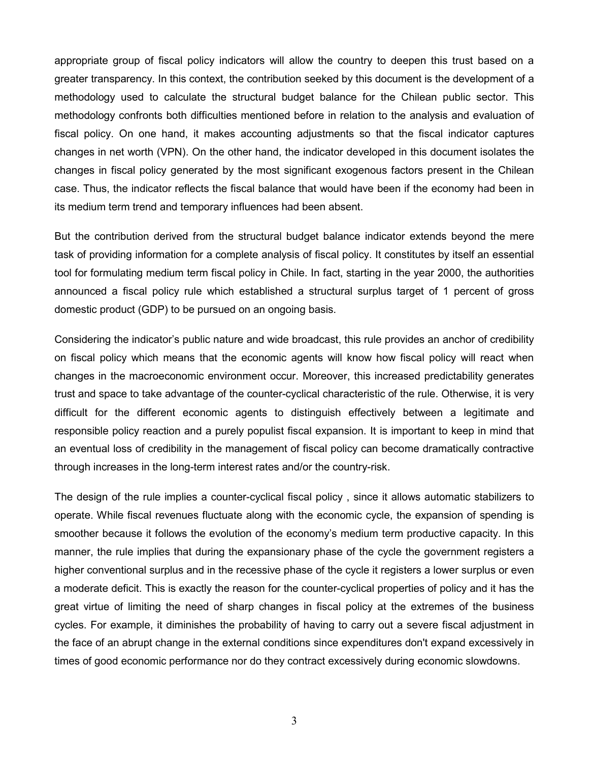appropriate group of fiscal policy indicators will allow the country to deepen this trust based on a greater transparency. In this context, the contribution seeked by this document is the development of a methodology used to calculate the structural budget balance for the Chilean public sector. This methodology confronts both difficulties mentioned before in relation to the analysis and evaluation of fiscal policy. On one hand, it makes accounting adjustments so that the fiscal indicator captures changes in net worth (VPN). On the other hand, the indicator developed in this document isolates the changes in fiscal policy generated by the most significant exogenous factors present in the Chilean case. Thus, the indicator reflects the fiscal balance that would have been if the economy had been in its medium term trend and temporary influences had been absent.

But the contribution derived from the structural budget balance indicator extends beyond the mere task of providing information for a complete analysis of fiscal policy. It constitutes by itself an essential tool for formulating medium term fiscal policy in Chile. In fact, starting in the year 2000, the authorities announced a fiscal policy rule which established a structural surplus target of 1 percent of gross domestic product (GDP) to be pursued on an ongoing basis.

Considering the indicator's public nature and wide broadcast, this rule provides an anchor of credibility on fiscal policy which means that the economic agents will know how fiscal policy will react when changes in the macroeconomic environment occur. Moreover, this increased predictability generates trust and space to take advantage of the counter-cyclical characteristic of the rule. Otherwise, it is very difficult for the different economic agents to distinguish effectively between a legitimate and responsible policy reaction and a purely populist fiscal expansion. It is important to keep in mind that an eventual loss of credibility in the management of fiscal policy can become dramatically contractive through increases in the long-term interest rates and/or the country-risk.

The design of the rule implies a counter-cyclical fiscal policy , since it allows automatic stabilizers to operate. While fiscal revenues fluctuate along with the economic cycle, the expansion of spending is smoother because it follows the evolution of the economy's medium term productive capacity. In this manner, the rule implies that during the expansionary phase of the cycle the government registers a higher conventional surplus and in the recessive phase of the cycle it registers a lower surplus or even a moderate deficit. This is exactly the reason for the counter-cyclical properties of policy and it has the great virtue of limiting the need of sharp changes in fiscal policy at the extremes of the business cycles. For example, it diminishes the probability of having to carry out a severe fiscal adjustment in the face of an abrupt change in the external conditions since expenditures don't expand excessively in times of good economic performance nor do they contract excessively during economic slowdowns.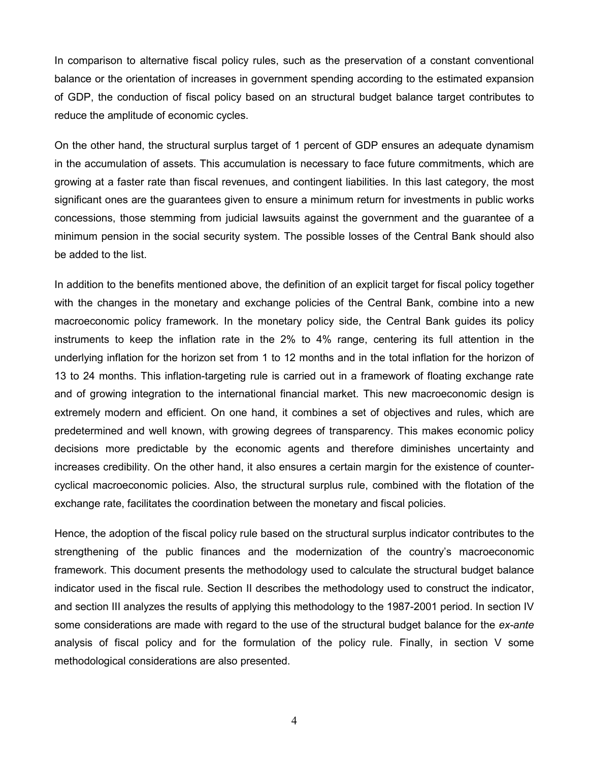In comparison to alternative fiscal policy rules, such as the preservation of a constant conventional balance or the orientation of increases in government spending according to the estimated expansion of GDP, the conduction of fiscal policy based on an structural budget balance target contributes to reduce the amplitude of economic cycles.

On the other hand, the structural surplus target of 1 percent of GDP ensures an adequate dynamism in the accumulation of assets. This accumulation is necessary to face future commitments, which are growing at a faster rate than fiscal revenues, and contingent liabilities. In this last category, the most significant ones are the guarantees given to ensure a minimum return for investments in public works concessions, those stemming from judicial lawsuits against the government and the guarantee of a minimum pension in the social security system. The possible losses of the Central Bank should also be added to the list.

In addition to the benefits mentioned above, the definition of an explicit target for fiscal policy together with the changes in the monetary and exchange policies of the Central Bank, combine into a new macroeconomic policy framework. In the monetary policy side, the Central Bank guides its policy instruments to keep the inflation rate in the 2% to 4% range, centering its full attention in the underlying inflation for the horizon set from 1 to 12 months and in the total inflation for the horizon of 13 to 24 months. This inflation-targeting rule is carried out in a framework of floating exchange rate and of growing integration to the international financial market. This new macroeconomic design is extremely modern and efficient. On one hand, it combines a set of objectives and rules, which are predetermined and well known, with growing degrees of transparency. This makes economic policy decisions more predictable by the economic agents and therefore diminishes uncertainty and increases credibility. On the other hand, it also ensures a certain margin for the existence of countercyclical macroeconomic policies. Also, the structural surplus rule, combined with the flotation of the exchange rate, facilitates the coordination between the monetary and fiscal policies.

Hence, the adoption of the fiscal policy rule based on the structural surplus indicator contributes to the strengthening of the public finances and the modernization of the country's macroeconomic framework. This document presents the methodology used to calculate the structural budget balance indicator used in the fiscal rule. Section II describes the methodology used to construct the indicator, and section III analyzes the results of applying this methodology to the 1987-2001 period. In section IV some considerations are made with regard to the use of the structural budget balance for the *ex-ante*  analysis of fiscal policy and for the formulation of the policy rule. Finally, in section V some methodological considerations are also presented.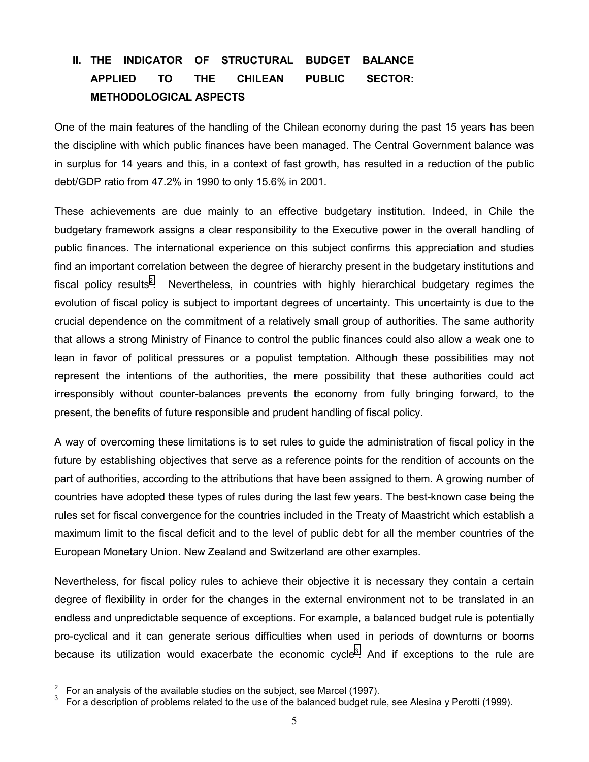# **II. THE INDICATOR OF STRUCTURAL BUDGET BALANCE APPLIED TO THE CHILEAN PUBLIC SECTOR: METHODOLOGICAL ASPECTS**

One of the main features of the handling of the Chilean economy during the past 15 years has been the discipline with which public finances have been managed. The Central Government balance was in surplus for 14 years and this, in a context of fast growth, has resulted in a reduction of the public debt/GDP ratio from 47.2% in 1990 to only 15.6% in 2001.

These achievements are due mainly to an effective budgetary institution. Indeed, in Chile the budgetary framework assigns a clear responsibility to the Executive power in the overall handling of public finances. The international experience on this subject confirms this appreciation and studies find an important correlation between the degree of hierarchy present in the budgetary institutions and fiscal policy results<sup>2</sup>. Nevertheless, in countries with highly hierarchical budgetary regimes the evolution of fiscal policy is subject to important degrees of uncertainty. This uncertainty is due to the crucial dependence on the commitment of a relatively small group of authorities. The same authority that allows a strong Ministry of Finance to control the public finances could also allow a weak one to lean in favor of political pressures or a populist temptation. Although these possibilities may not represent the intentions of the authorities, the mere possibility that these authorities could act irresponsibly without counter-balances prevents the economy from fully bringing forward, to the present, the benefits of future responsible and prudent handling of fiscal policy.

A way of overcoming these limitations is to set rules to guide the administration of fiscal policy in the future by establishing objectives that serve as a reference points for the rendition of accounts on the part of authorities, according to the attributions that have been assigned to them. A growing number of countries have adopted these types of rules during the last few years. The best-known case being the rules set for fiscal convergence for the countries included in the Treaty of Maastricht which establish a maximum limit to the fiscal deficit and to the level of public debt for all the member countries of the European Monetary Union. New Zealand and Switzerland are other examples.

Nevertheless, for fiscal policy rules to achieve their objective it is necessary they contain a certain degree of flexibility in order for the changes in the external environment not to be translated in an endless and unpredictable sequence of exceptions. For example, a balanced budget rule is potentially pro-cyclical and it can generate serious difficulties when used in periods of downturns or booms because its utilization would exacerbate the economic cycle<sup>3</sup>. And if exceptions to the rule are

 $\overline{a}$ 

<sup>2</sup> For an analysis of the available studies on the subject, see Marcel (1997).

<sup>3</sup> For a description of problems related to the use of the balanced budget rule, see Alesina y Perotti (1999).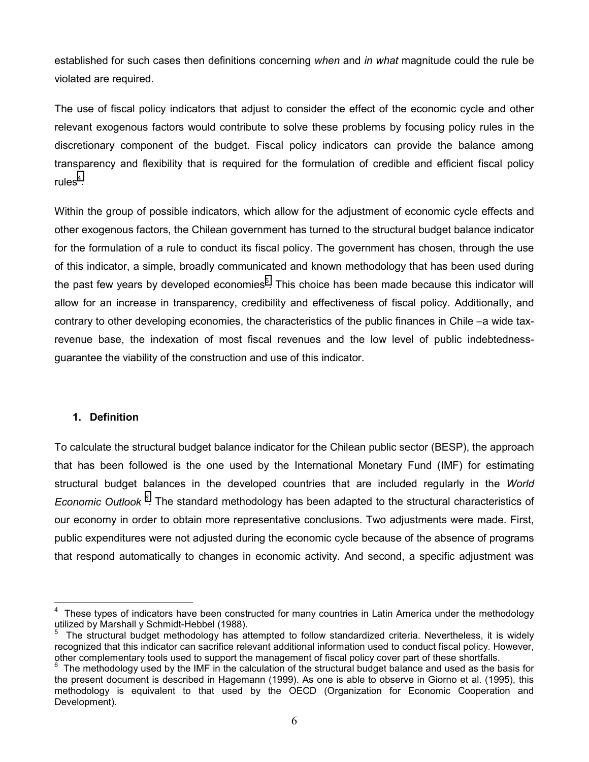established for such cases then definitions concerning *when* and *in what* magnitude could the rule be violated are required.

The use of fiscal policy indicators that adjust to consider the effect of the economic cycle and other relevant exogenous factors would contribute to solve these problems by focusing policy rules in the discretionary component of the budget. Fiscal policy indicators can provide the balance among transparency and flexibility that is required for the formulation of credible and efficient fiscal policy rules $4$ .

Within the group of possible indicators, which allow for the adjustment of economic cycle effects and other exogenous factors, the Chilean government has turned to the structural budget balance indicator for the formulation of a rule to conduct its fiscal policy. The government has chosen, through the use of this indicator, a simple, broadly communicated and known methodology that has been used during the past few years by developed economies<sup>5</sup>. This choice has been made because this indicator will allow for an increase in transparency, credibility and effectiveness of fiscal policy. Additionally, and contrary to other developing economies, the characteristics of the public finances in Chile –a wide taxrevenue base, the indexation of most fiscal revenues and the low level of public indebtednessguarantee the viability of the construction and use of this indicator.

## **1. Definition**

 $\overline{a}$ 

To calculate the structural budget balance indicator for the Chilean public sector (BESP), the approach that has been followed is the one used by the International Monetary Fund (IMF) for estimating structural budget balances in the developed countries that are included regularly in the *World*  Economic Outlook<sup>6</sup>. The standard methodology has been adapted to the structural characteristics of our economy in order to obtain more representative conclusions. Two adjustments were made. First, public expenditures were not adjusted during the economic cycle because of the absence of programs that respond automatically to changes in economic activity. And second, a specific adjustment was

<sup>&</sup>lt;sup>4</sup> These types of indicators have been constructed for many countries in Latin America under the methodology utilized by Marshall y Schmidt-Hebbel (1988).

<sup>5</sup> The structural budget methodology has attempted to follow standardized criteria. Nevertheless, it is widely recognized that this indicator can sacrifice relevant additional information used to conduct fiscal policy. However, other complementary tools used to support the management of fiscal policy cover part of these shortfalls.

 $6$  The methodology used by the IMF in the calculation of the structural budget balance and used as the basis for the present document is described in Hagemann (1999). As one is able to observe in Giorno et al. (1995), this methodology is equivalent to that used by the OECD (Organization for Economic Cooperation and Development).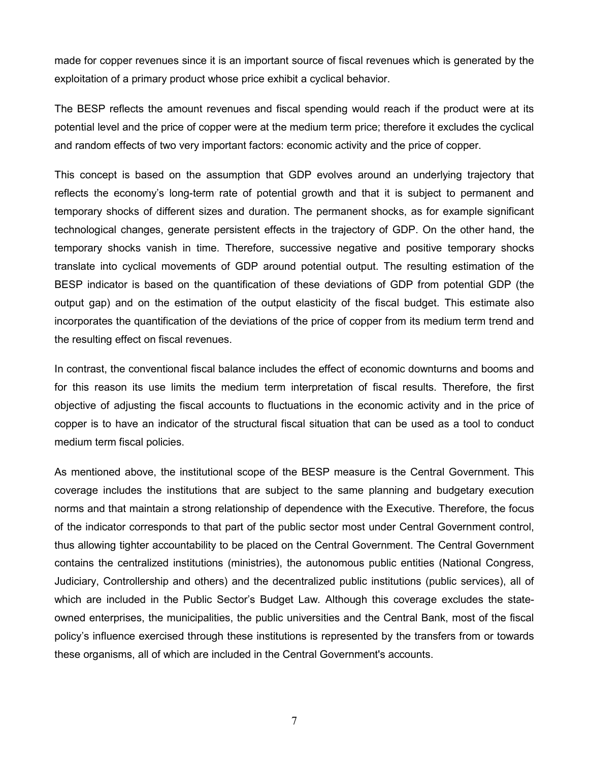made for copper revenues since it is an important source of fiscal revenues which is generated by the exploitation of a primary product whose price exhibit a cyclical behavior.

The BESP reflects the amount revenues and fiscal spending would reach if the product were at its potential level and the price of copper were at the medium term price; therefore it excludes the cyclical and random effects of two very important factors: economic activity and the price of copper.

This concept is based on the assumption that GDP evolves around an underlying trajectory that reflects the economy's long-term rate of potential growth and that it is subject to permanent and temporary shocks of different sizes and duration. The permanent shocks, as for example significant technological changes, generate persistent effects in the trajectory of GDP. On the other hand, the temporary shocks vanish in time. Therefore, successive negative and positive temporary shocks translate into cyclical movements of GDP around potential output. The resulting estimation of the BESP indicator is based on the quantification of these deviations of GDP from potential GDP (the output gap) and on the estimation of the output elasticity of the fiscal budget. This estimate also incorporates the quantification of the deviations of the price of copper from its medium term trend and the resulting effect on fiscal revenues.

In contrast, the conventional fiscal balance includes the effect of economic downturns and booms and for this reason its use limits the medium term interpretation of fiscal results. Therefore, the first objective of adjusting the fiscal accounts to fluctuations in the economic activity and in the price of copper is to have an indicator of the structural fiscal situation that can be used as a tool to conduct medium term fiscal policies.

As mentioned above, the institutional scope of the BESP measure is the Central Government. This coverage includes the institutions that are subject to the same planning and budgetary execution norms and that maintain a strong relationship of dependence with the Executive. Therefore, the focus of the indicator corresponds to that part of the public sector most under Central Government control, thus allowing tighter accountability to be placed on the Central Government. The Central Government contains the centralized institutions (ministries), the autonomous public entities (National Congress, Judiciary, Controllership and others) and the decentralized public institutions (public services), all of which are included in the Public Sector's Budget Law*.* Although this coverage excludes the stateowned enterprises, the municipalities, the public universities and the Central Bank, most of the fiscal policy's influence exercised through these institutions is represented by the transfers from or towards these organisms, all of which are included in the Central Government's accounts.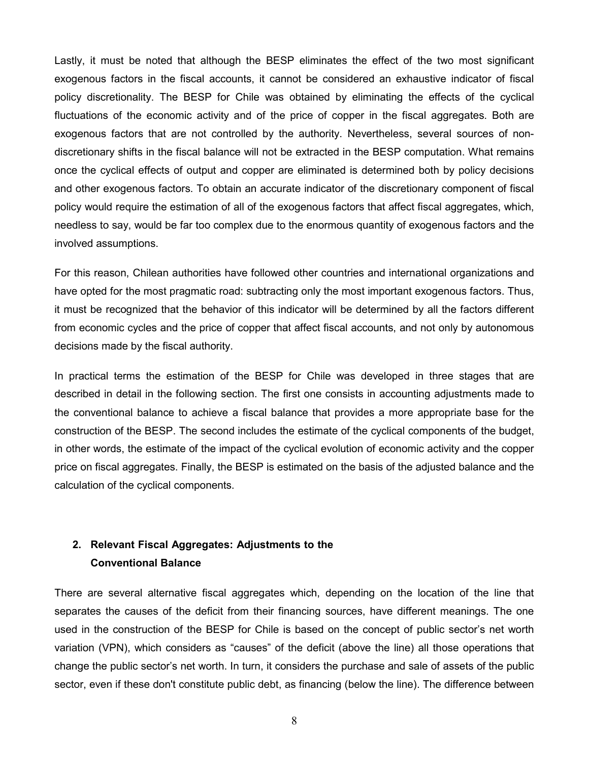Lastly, it must be noted that although the BESP eliminates the effect of the two most significant exogenous factors in the fiscal accounts, it cannot be considered an exhaustive indicator of fiscal policy discretionality. The BESP for Chile was obtained by eliminating the effects of the cyclical fluctuations of the economic activity and of the price of copper in the fiscal aggregates. Both are exogenous factors that are not controlled by the authority. Nevertheless, several sources of nondiscretionary shifts in the fiscal balance will not be extracted in the BESP computation. What remains once the cyclical effects of output and copper are eliminated is determined both by policy decisions and other exogenous factors. To obtain an accurate indicator of the discretionary component of fiscal policy would require the estimation of all of the exogenous factors that affect fiscal aggregates, which, needless to say, would be far too complex due to the enormous quantity of exogenous factors and the involved assumptions.

For this reason, Chilean authorities have followed other countries and international organizations and have opted for the most pragmatic road: subtracting only the most important exogenous factors. Thus, it must be recognized that the behavior of this indicator will be determined by all the factors different from economic cycles and the price of copper that affect fiscal accounts, and not only by autonomous decisions made by the fiscal authority.

In practical terms the estimation of the BESP for Chile was developed in three stages that are described in detail in the following section. The first one consists in accounting adjustments made to the conventional balance to achieve a fiscal balance that provides a more appropriate base for the construction of the BESP. The second includes the estimate of the cyclical components of the budget, in other words, the estimate of the impact of the cyclical evolution of economic activity and the copper price on fiscal aggregates. Finally, the BESP is estimated on the basis of the adjusted balance and the calculation of the cyclical components.

## **2. Relevant Fiscal Aggregates: Adjustments to the Conventional Balance**

There are several alternative fiscal aggregates which, depending on the location of the line that separates the causes of the deficit from their financing sources, have different meanings. The one used in the construction of the BESP for Chile is based on the concept of public sector's net worth variation (VPN), which considers as "causes" of the deficit (above the line) all those operations that change the public sector's net worth. In turn, it considers the purchase and sale of assets of the public sector, even if these don't constitute public debt, as financing (below the line). The difference between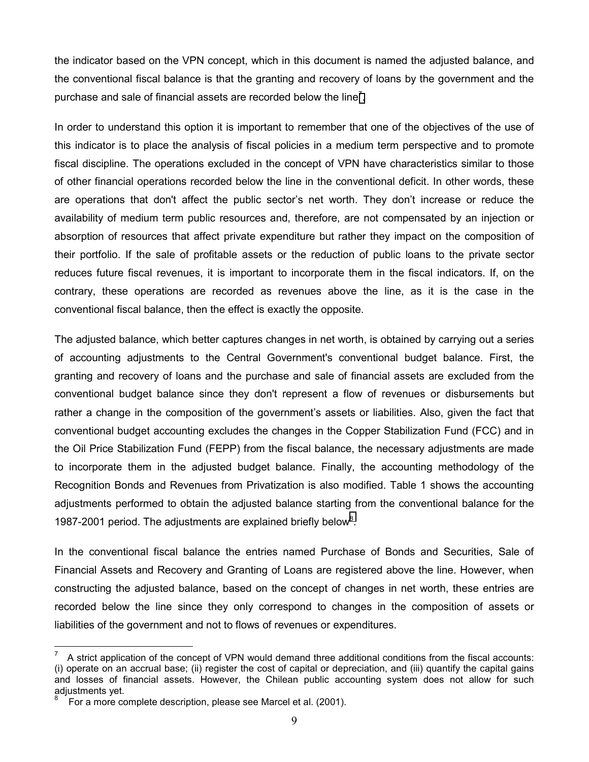the indicator based on the VPN concept, which in this document is named the adjusted balance, and the conventional fiscal balance is that the granting and recovery of loans by the government and the purchase and sale of financial assets are recorded below the line<sup>7</sup>.

In order to understand this option it is important to remember that one of the objectives of the use of this indicator is to place the analysis of fiscal policies in a medium term perspective and to promote fiscal discipline. The operations excluded in the concept of VPN have characteristics similar to those of other financial operations recorded below the line in the conventional deficit. In other words, these are operations that don't affect the public sector's net worth. They don't increase or reduce the availability of medium term public resources and, therefore, are not compensated by an injection or absorption of resources that affect private expenditure but rather they impact on the composition of their portfolio. If the sale of profitable assets or the reduction of public loans to the private sector reduces future fiscal revenues, it is important to incorporate them in the fiscal indicators. If, on the contrary, these operations are recorded as revenues above the line, as it is the case in the conventional fiscal balance, then the effect is exactly the opposite.

The adjusted balance, which better captures changes in net worth, is obtained by carrying out a series of accounting adjustments to the Central Government's conventional budget balance. First, the granting and recovery of loans and the purchase and sale of financial assets are excluded from the conventional budget balance since they don't represent a flow of revenues or disbursements but rather a change in the composition of the government's assets or liabilities. Also, given the fact that conventional budget accounting excludes the changes in the Copper Stabilization Fund (FCC) and in the Oil Price Stabilization Fund (FEPP) from the fiscal balance, the necessary adjustments are made to incorporate them in the adjusted budget balance. Finally, the accounting methodology of the Recognition Bonds and Revenues from Privatization is also modified. Table 1 shows the accounting adjustments performed to obtain the adjusted balance starting from the conventional balance for the 1987-2001 period. The adjustments are explained briefly below<sup>8</sup>.

In the conventional fiscal balance the entries named Purchase of Bonds and Securities, Sale of Financial Assets and Recovery and Granting of Loans are registered above the line. However, when constructing the adjusted balance, based on the concept of changes in net worth, these entries are recorded below the line since they only correspond to changes in the composition of assets or liabilities of the government and not to flows of revenues or expenditures.

 $\overline{a}$ 

<sup>7</sup> A strict application of the concept of VPN would demand three additional conditions from the fiscal accounts: (i) operate on an accrual base; (ii) register the cost of capital or depreciation, and (iii) quantify the capital gains and losses of financial assets. However, the Chilean public accounting system does not allow for such adjustments yet.

<sup>8</sup> For a more complete description, please see Marcel et al. (2001).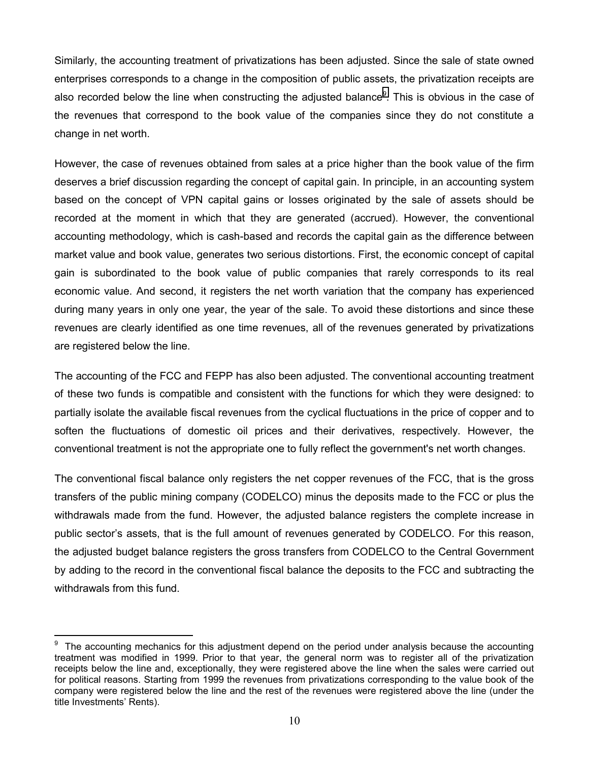Similarly, the accounting treatment of privatizations has been adjusted. Since the sale of state owned enterprises corresponds to a change in the composition of public assets, the privatization receipts are also recorded below the line when constructing the adjusted balance*<sup>9</sup>* . This is obvious in the case of the revenues that correspond to the book value of the companies since they do not constitute a change in net worth.

However, the case of revenues obtained from sales at a price higher than the book value of the firm deserves a brief discussion regarding the concept of capital gain. In principle, in an accounting system based on the concept of VPN capital gains or losses originated by the sale of assets should be recorded at the moment in which that they are generated (accrued). However, the conventional accounting methodology, which is cash-based and records the capital gain as the difference between market value and book value, generates two serious distortions. First, the economic concept of capital gain is subordinated to the book value of public companies that rarely corresponds to its real economic value. And second, it registers the net worth variation that the company has experienced during many years in only one year, the year of the sale. To avoid these distortions and since these revenues are clearly identified as one time revenues, all of the revenues generated by privatizations are registered below the line.

The accounting of the FCC and FEPP has also been adjusted. The conventional accounting treatment of these two funds is compatible and consistent with the functions for which they were designed: to partially isolate the available fiscal revenues from the cyclical fluctuations in the price of copper and to soften the fluctuations of domestic oil prices and their derivatives, respectively. However, the conventional treatment is not the appropriate one to fully reflect the government's net worth changes.

The conventional fiscal balance only registers the net copper revenues of the FCC, that is the gross transfers of the public mining company (CODELCO) minus the deposits made to the FCC or plus the withdrawals made from the fund. However, the adjusted balance registers the complete increase in public sector's assets, that is the full amount of revenues generated by CODELCO. For this reason, the adjusted budget balance registers the gross transfers from CODELCO to the Central Government by adding to the record in the conventional fiscal balance the deposits to the FCC and subtracting the withdrawals from this fund.

<sup>–&</sup>lt;br>9 The accounting mechanics for this adjustment depend on the period under analysis because the accounting treatment was modified in 1999. Prior to that year, the general norm was to register all of the privatization receipts below the line and, exceptionally, they were registered above the line when the sales were carried out for political reasons. Starting from 1999 the revenues from privatizations corresponding to the value book of the company were registered below the line and the rest of the revenues were registered above the line (under the title Investments' Rents).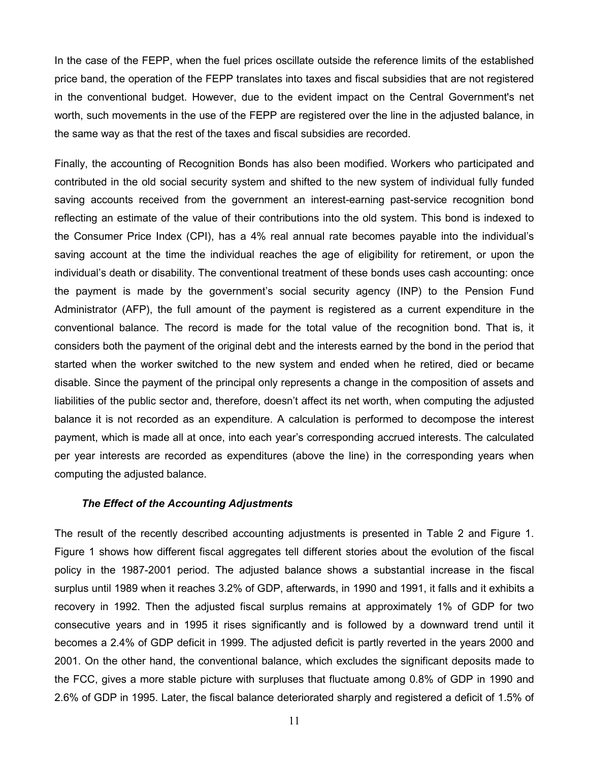In the case of the FEPP, when the fuel prices oscillate outside the reference limits of the established price band, the operation of the FEPP translates into taxes and fiscal subsidies that are not registered in the conventional budget. However, due to the evident impact on the Central Government's net worth, such movements in the use of the FEPP are registered over the line in the adjusted balance, in the same way as that the rest of the taxes and fiscal subsidies are recorded.

Finally, the accounting of Recognition Bonds has also been modified. Workers who participated and contributed in the old social security system and shifted to the new system of individual fully funded saving accounts received from the government an interest-earning past-service recognition bond reflecting an estimate of the value of their contributions into the old system. This bond is indexed to the Consumer Price Index (CPI), has a 4% real annual rate becomes payable into the individual's saving account at the time the individual reaches the age of eligibility for retirement, or upon the individual's death or disability. The conventional treatment of these bonds uses cash accounting: once the payment is made by the government's social security agency (INP) to the Pension Fund Administrator (AFP), the full amount of the payment is registered as a current expenditure in the conventional balance. The record is made for the total value of the recognition bond. That is, it considers both the payment of the original debt and the interests earned by the bond in the period that started when the worker switched to the new system and ended when he retired, died or became disable. Since the payment of the principal only represents a change in the composition of assets and liabilities of the public sector and, therefore, doesn't affect its net worth, when computing the adjusted balance it is not recorded as an expenditure. A calculation is performed to decompose the interest payment, which is made all at once, into each year's corresponding accrued interests. The calculated per year interests are recorded as expenditures (above the line) in the corresponding years when computing the adjusted balance.

#### *The Effect of the Accounting Adjustments*

The result of the recently described accounting adjustments is presented in Table 2 and Figure 1. Figure 1 shows how different fiscal aggregates tell different stories about the evolution of the fiscal policy in the 1987-2001 period. The adjusted balance shows a substantial increase in the fiscal surplus until 1989 when it reaches 3.2% of GDP, afterwards, in 1990 and 1991, it falls and it exhibits a recovery in 1992. Then the adjusted fiscal surplus remains at approximately 1% of GDP for two consecutive years and in 1995 it rises significantly and is followed by a downward trend until it becomes a 2.4% of GDP deficit in 1999. The adjusted deficit is partly reverted in the years 2000 and 2001. On the other hand, the conventional balance, which excludes the significant deposits made to the FCC, gives a more stable picture with surpluses that fluctuate among 0.8% of GDP in 1990 and 2.6% of GDP in 1995. Later, the fiscal balance deteriorated sharply and registered a deficit of 1.5% of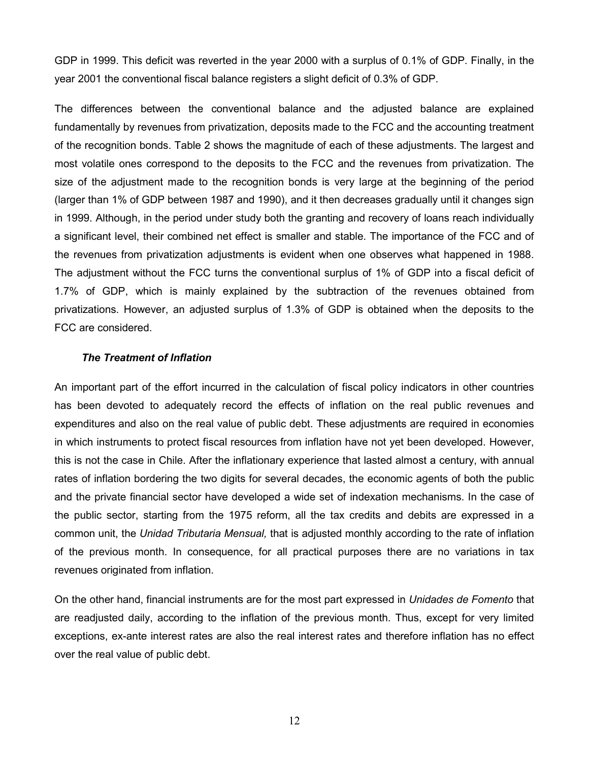GDP in 1999. This deficit was reverted in the year 2000 with a surplus of 0.1% of GDP. Finally, in the year 2001 the conventional fiscal balance registers a slight deficit of 0.3% of GDP.

The differences between the conventional balance and the adjusted balance are explained fundamentally by revenues from privatization, deposits made to the FCC and the accounting treatment of the recognition bonds. Table 2 shows the magnitude of each of these adjustments. The largest and most volatile ones correspond to the deposits to the FCC and the revenues from privatization. The size of the adjustment made to the recognition bonds is very large at the beginning of the period (larger than 1% of GDP between 1987 and 1990), and it then decreases gradually until it changes sign in 1999. Although, in the period under study both the granting and recovery of loans reach individually a significant level, their combined net effect is smaller and stable. The importance of the FCC and of the revenues from privatization adjustments is evident when one observes what happened in 1988. The adjustment without the FCC turns the conventional surplus of 1% of GDP into a fiscal deficit of 1.7% of GDP, which is mainly explained by the subtraction of the revenues obtained from privatizations. However, an adjusted surplus of 1.3% of GDP is obtained when the deposits to the FCC are considered.

#### *The Treatment of Inflation*

An important part of the effort incurred in the calculation of fiscal policy indicators in other countries has been devoted to adequately record the effects of inflation on the real public revenues and expenditures and also on the real value of public debt. These adjustments are required in economies in which instruments to protect fiscal resources from inflation have not yet been developed. However, this is not the case in Chile. After the inflationary experience that lasted almost a century, with annual rates of inflation bordering the two digits for several decades, the economic agents of both the public and the private financial sector have developed a wide set of indexation mechanisms. In the case of the public sector, starting from the 1975 reform, all the tax credits and debits are expressed in a common unit, the *Unidad Tributaria Mensual,* that is adjusted monthly according to the rate of inflation of the previous month. In consequence, for all practical purposes there are no variations in tax revenues originated from inflation.

On the other hand, financial instruments are for the most part expressed in *Unidades de Fomento* that are readjusted daily, according to the inflation of the previous month. Thus, except for very limited exceptions, ex-ante interest rates are also the real interest rates and therefore inflation has no effect over the real value of public debt.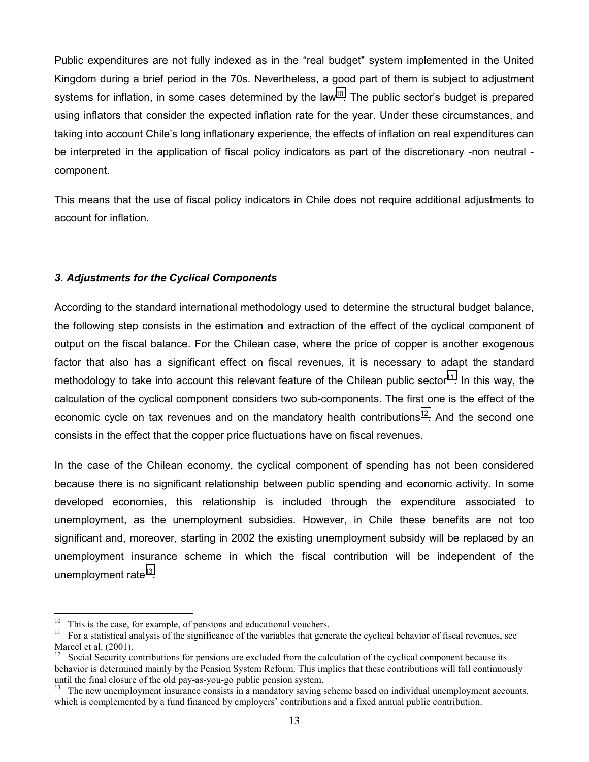Public expenditures are not fully indexed as in the "real budget" system implemented in the United Kingdom during a brief period in the 70s. Nevertheless, a good part of them is subject to adjustment systems for inflation, in some cases determined by the law<sup>10</sup>. The public sector's budget is prepared using inflators that consider the expected inflation rate for the year. Under these circumstances, and taking into account Chile's long inflationary experience, the effects of inflation on real expenditures can be interpreted in the application of fiscal policy indicators as part of the discretionary -non neutral component.

This means that the use of fiscal policy indicators in Chile does not require additional adjustments to account for inflation.

## *3. Adjustments for the Cyclical Components*

According to the standard international methodology used to determine the structural budget balance, the following step consists in the estimation and extraction of the effect of the cyclical component of output on the fiscal balance. For the Chilean case, where the price of copper is another exogenous factor that also has a significant effect on fiscal revenues, it is necessary to adapt the standard methodology to take into account this relevant feature of the Chilean public sector<sup>11</sup>. In this way, the calculation of the cyclical component considers two sub-components. The first one is the effect of the economic cycle on tax revenues and on the mandatory health contributions<sup>12</sup>. And the second one consists in the effect that the copper price fluctuations have on fiscal revenues.

In the case of the Chilean economy, the cyclical component of spending has not been considered because there is no significant relationship between public spending and economic activity. In some developed economies, this relationship is included through the expenditure associated to unemployment, as the unemployment subsidies. However, in Chile these benefits are not too significant and, moreover, starting in 2002 the existing unemployment subsidy will be replaced by an unemployment insurance scheme in which the fiscal contribution will be independent of the unemployment rate $13$ .

 $\overline{a}$ 

<sup>&</sup>lt;sup>10</sup> This is the case, for example, of pensions and educational vouchers.<br><sup>11</sup> For a statistical analysis of the significance of the variables that gene

<sup>11</sup> For a statistical analysis of the significance of the variables that generate the cyclical behavior of fiscal revenues, see Marcel et al. (2001).

 $12$  Social Security contributions for pensions are excluded from the calculation of the cyclical component because its behavior is determined mainly by the Pension System Reform. This implies that these contributions will fall continuously until the final closure of the old pay-as-you-go public pension system.

<sup>&</sup>lt;sup>13</sup> The new unemployment insurance consists in a mandatory saving scheme based on individual unemployment accounts, which is complemented by a fund financed by employers' contributions and a fixed annual public contribution.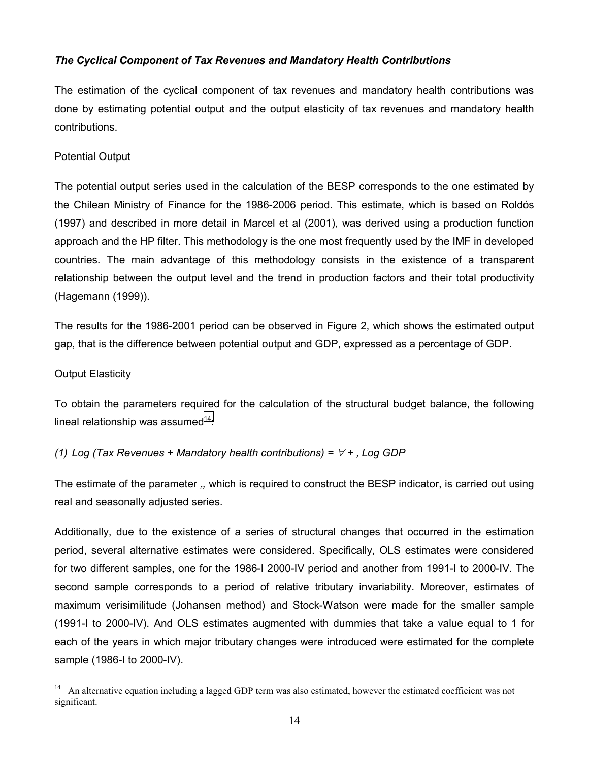## *The Cyclical Component of Tax Revenues and Mandatory Health Contributions*

The estimation of the cyclical component of tax revenues and mandatory health contributions was done by estimating potential output and the output elasticity of tax revenues and mandatory health contributions.

## Potential Output

The potential output series used in the calculation of the BESP corresponds to the one estimated by the Chilean Ministry of Finance for the 1986-2006 period. This estimate, which is based on Roldós (1997) and described in more detail in Marcel et al (2001), was derived using a production function approach and the HP filter. This methodology is the one most frequently used by the IMF in developed countries. The main advantage of this methodology consists in the existence of a transparent relationship between the output level and the trend in production factors and their total productivity (Hagemann (1999)).

The results for the 1986-2001 period can be observed in Figure 2, which shows the estimated output gap, that is the difference between potential output and GDP, expressed as a percentage of GDP.

## Output Elasticity

 $\overline{a}$ 

To obtain the parameters required for the calculation of the structural budget balance, the following lineal relationship was assumed $14$ :

## *(1)* Log (Tax Revenues + Mandatory health contributions) =  $\forall$  +, Log GDP

The estimate of the parameter ,*,* which is required to construct the BESP indicator, is carried out using real and seasonally adjusted series.

Additionally, due to the existence of a series of structural changes that occurred in the estimation period, several alternative estimates were considered. Specifically, OLS estimates were considered for two different samples, one for the 1986-I 2000-IV period and another from 1991-I to 2000-IV. The second sample corresponds to a period of relative tributary invariability. Moreover, estimates of maximum verisimilitude (Johansen method) and Stock-Watson were made for the smaller sample (1991-I to 2000-IV). And OLS estimates augmented with dummies that take a value equal to 1 for each of the years in which major tributary changes were introduced were estimated for the complete sample (1986-I to 2000-IV).

<sup>&</sup>lt;sup>14</sup> An alternative equation including a lagged GDP term was also estimated, however the estimated coefficient was not significant.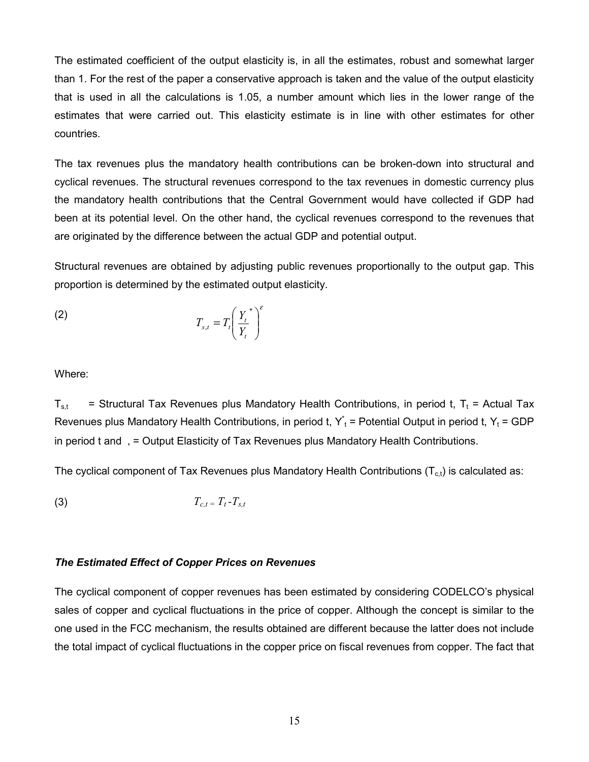The estimated coefficient of the output elasticity is, in all the estimates, robust and somewhat larger than 1. For the rest of the paper a conservative approach is taken and the value of the output elasticity that is used in all the calculations is 1.05, a number amount which lies in the lower range of the estimates that were carried out. This elasticity estimate is in line with other estimates for other countries.

The tax revenues plus the mandatory health contributions can be broken-down into structural and cyclical revenues. The structural revenues correspond to the tax revenues in domestic currency plus the mandatory health contributions that the Central Government would have collected if GDP had been at its potential level. On the other hand, the cyclical revenues correspond to the revenues that are originated by the difference between the actual GDP and potential output.

Structural revenues are obtained by adjusting public revenues proportionally to the output gap. This proportion is determined by the estimated output elasticity.

$$
(2) \t\t T_{s,t} = T_t \left(\frac{Y_t^*}{Y_t}\right)^{\epsilon}
$$

Where:

 $T_{\rm st}$  = Structural Tax Revenues plus Mandatory Health Contributions, in period t, T<sub>t</sub> = Actual Tax Revenues plus Mandatory Health Contributions, in period t,  $Y_t^*$  = Potential Output in period t,  $Y_t$  = GDP in period t and , = Output Elasticity of Tax Revenues plus Mandatory Health Contributions.

The cyclical component of Tax Revenues plus Mandatory Health Contributions  $(T<sub>cf</sub>)$  is calculated as:

$$
(3) \t\t T_{c,t} = T_t - T_{s,t}
$$

#### *The Estimated Effect of Copper Prices on Revenues*

The cyclical component of copper revenues has been estimated by considering CODELCO's physical sales of copper and cyclical fluctuations in the price of copper. Although the concept is similar to the one used in the FCC mechanism, the results obtained are different because the latter does not include the total impact of cyclical fluctuations in the copper price on fiscal revenues from copper. The fact that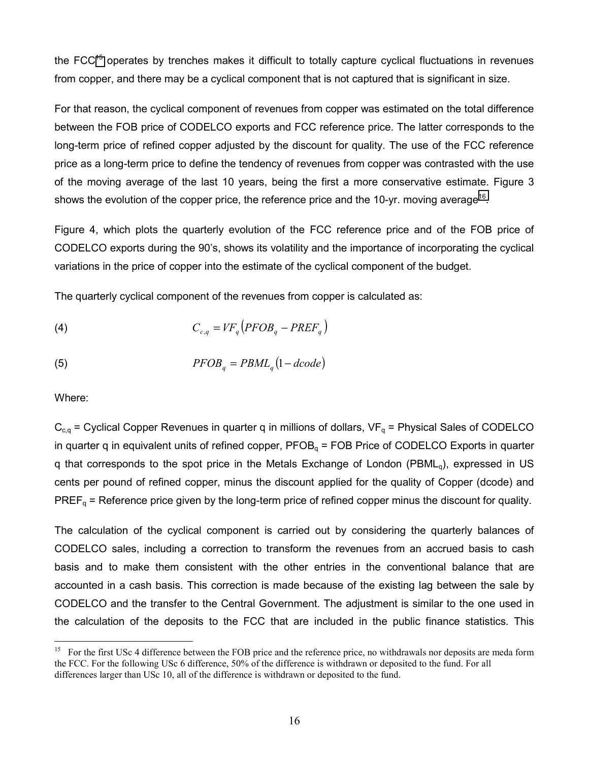the FCC $<sup>15</sup>$  operates by trenches makes it difficult to totally capture cyclical fluctuations in revenues</sup> from copper, and there may be a cyclical component that is not captured that is significant in size.

For that reason, the cyclical component of revenues from copper was estimated on the total difference between the FOB price of CODELCO exports and FCC reference price. The latter corresponds to the long-term price of refined copper adjusted by the discount for quality. The use of the FCC reference price as a long-term price to define the tendency of revenues from copper was contrasted with the use of the moving average of the last 10 years, being the first a more conservative estimate. Figure 3 shows the evolution of the copper price, the reference price and the 10-yr. moving average<sup>16</sup>.

Figure 4, which plots the quarterly evolution of the FCC reference price and of the FOB price of CODELCO exports during the 90's, shows its volatility and the importance of incorporating the cyclical variations in the price of copper into the estimate of the cyclical component of the budget.

The quarterly cyclical component of the revenues from copper is calculated as:

$$
C_{c,q} = V F_q \left( P F O B_q - P R E F_q \right)
$$

$$
(5) \t\t PFOBq = PBMLq(1-dcode)
$$

Where:

 $\overline{a}$ 

 $C_{c,q}$  = Cyclical Copper Revenues in quarter q in millions of dollars,  $VF_q$  = Physical Sales of CODELCO in quarter q in equivalent units of refined copper,  $PFOB<sub>q</sub> = FOB$  Price of CODELCO Exports in quarter q that corresponds to the spot price in the Metals Exchange of London (PBML<sub>a</sub>), expressed in US cents per pound of refined copper, minus the discount applied for the quality of Copper (dcode) and  $PREF_{q}$  = Reference price given by the long-term price of refined copper minus the discount for quality.

The calculation of the cyclical component is carried out by considering the quarterly balances of CODELCO sales, including a correction to transform the revenues from an accrued basis to cash basis and to make them consistent with the other entries in the conventional balance that are accounted in a cash basis. This correction is made because of the existing lag between the sale by CODELCO and the transfer to the Central Government. The adjustment is similar to the one used in the calculation of the deposits to the FCC that are included in the public finance statistics. This

<sup>&</sup>lt;sup>15</sup> For the first USc 4 difference between the FOB price and the reference price, no withdrawals nor deposits are meda form the FCC. For the following USc 6 difference, 50% of the difference is withdrawn or deposited to the fund. For all differences larger than USc 10, all of the difference is withdrawn or deposited to the fund.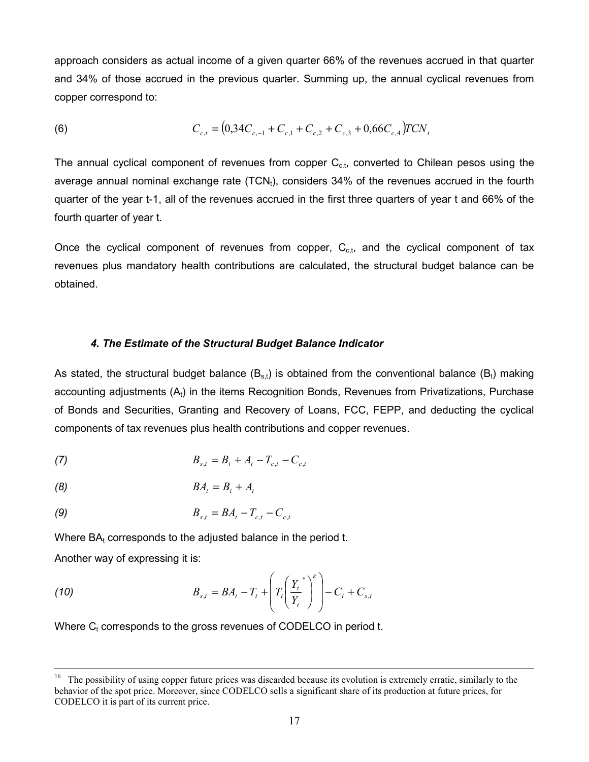approach considers as actual income of a given quarter 66% of the revenues accrued in that quarter and 34% of those accrued in the previous quarter. Summing up, the annual cyclical revenues from copper correspond to:

(6) 
$$
C_{c,t} = (0,34C_{c,-1} + C_{c,1} + C_{c,2} + C_{c,3} + 0,66C_{c,4})TCN_t
$$

The annual cyclical component of revenues from copper  $C_{c,t}$ , converted to Chilean pesos using the average annual nominal exchange rate  $(TCN<sub>t</sub>)$ , considers 34% of the revenues accrued in the fourth quarter of the year t-1, all of the revenues accrued in the first three quarters of year t and 66% of the fourth quarter of year t.

Once the cyclical component of revenues from copper,  $C_{c,t}$ , and the cyclical component of tax revenues plus mandatory health contributions are calculated, the structural budget balance can be obtained.

#### *4. The Estimate of the Structural Budget Balance Indicator*

As stated, the structural budget balance  $(B_{s,t})$  is obtained from the conventional balance  $(B_t)$  making accounting adjustments  $(A_t)$  in the items Recognition Bonds, Revenues from Privatizations, Purchase of Bonds and Securities, Granting and Recovery of Loans, FCC, FEPP, and deducting the cyclical components of tax revenues plus health contributions and copper revenues.

(7) 
$$
B_{s,t} = B_t + A_t - T_{c,t} - C_{c,t}
$$

$$
(8) \t\t BA_t = B_t + A_t
$$

(9) 
$$
B_{s,t} = BA_t - T_{c,t} - C_{c,t}
$$

Where  $BA<sub>t</sub>$  corresponds to the adjusted balance in the period t.

Another way of expressing it is:

(10) 
$$
B_{s,t} = BA_t - T_t + \left(T_t \left(\frac{Y_t}{Y_t}\right)^{\varepsilon}\right) - C_t + C_{s,t}
$$

Where  $C_t$  corresponds to the gross revenues of CODELCO in period  $t$ .

<sup>&</sup>lt;sup>16</sup> The possibility of using copper future prices was discarded because its evolution is extremely erratic, similarly to the behavior of the spot price. Moreover, since CODELCO sells a significant share of its production at future prices, for CODELCO it is part of its current price.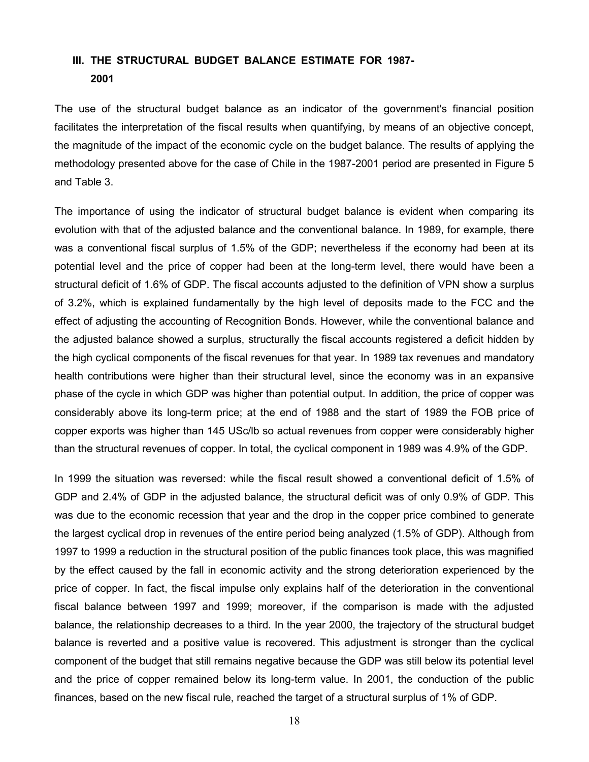## **III. THE STRUCTURAL BUDGET BALANCE ESTIMATE FOR 1987- 2001**

The use of the structural budget balance as an indicator of the government's financial position facilitates the interpretation of the fiscal results when quantifying, by means of an objective concept, the magnitude of the impact of the economic cycle on the budget balance. The results of applying the methodology presented above for the case of Chile in the 1987-2001 period are presented in Figure 5 and Table 3.

The importance of using the indicator of structural budget balance is evident when comparing its evolution with that of the adjusted balance and the conventional balance. In 1989, for example, there was a conventional fiscal surplus of 1.5% of the GDP; nevertheless if the economy had been at its potential level and the price of copper had been at the long-term level, there would have been a structural deficit of 1.6% of GDP. The fiscal accounts adjusted to the definition of VPN show a surplus of 3.2%, which is explained fundamentally by the high level of deposits made to the FCC and the effect of adjusting the accounting of Recognition Bonds. However, while the conventional balance and the adjusted balance showed a surplus, structurally the fiscal accounts registered a deficit hidden by the high cyclical components of the fiscal revenues for that year. In 1989 tax revenues and mandatory health contributions were higher than their structural level, since the economy was in an expansive phase of the cycle in which GDP was higher than potential output. In addition, the price of copper was considerably above its long-term price; at the end of 1988 and the start of 1989 the FOB price of copper exports was higher than 145 USc/lb so actual revenues from copper were considerably higher than the structural revenues of copper. In total, the cyclical component in 1989 was 4.9% of the GDP.

In 1999 the situation was reversed: while the fiscal result showed a conventional deficit of 1.5% of GDP and 2.4% of GDP in the adjusted balance, the structural deficit was of only 0.9% of GDP. This was due to the economic recession that year and the drop in the copper price combined to generate the largest cyclical drop in revenues of the entire period being analyzed (1.5% of GDP). Although from 1997 to 1999 a reduction in the structural position of the public finances took place, this was magnified by the effect caused by the fall in economic activity and the strong deterioration experienced by the price of copper. In fact, the fiscal impulse only explains half of the deterioration in the conventional fiscal balance between 1997 and 1999; moreover, if the comparison is made with the adjusted balance, the relationship decreases to a third. In the year 2000, the trajectory of the structural budget balance is reverted and a positive value is recovered. This adjustment is stronger than the cyclical component of the budget that still remains negative because the GDP was still below its potential level and the price of copper remained below its long-term value. In 2001, the conduction of the public finances, based on the new fiscal rule, reached the target of a structural surplus of 1% of GDP.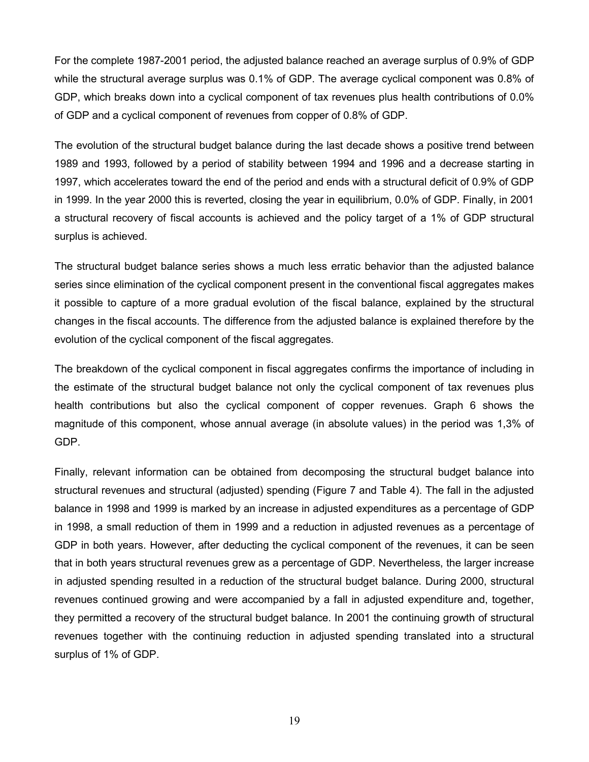For the complete 1987-2001 period, the adjusted balance reached an average surplus of 0.9% of GDP while the structural average surplus was 0.1% of GDP. The average cyclical component was 0.8% of GDP, which breaks down into a cyclical component of tax revenues plus health contributions of 0.0% of GDP and a cyclical component of revenues from copper of 0.8% of GDP.

The evolution of the structural budget balance during the last decade shows a positive trend between 1989 and 1993, followed by a period of stability between 1994 and 1996 and a decrease starting in 1997, which accelerates toward the end of the period and ends with a structural deficit of 0.9% of GDP in 1999. In the year 2000 this is reverted, closing the year in equilibrium, 0.0% of GDP. Finally, in 2001 a structural recovery of fiscal accounts is achieved and the policy target of a 1% of GDP structural surplus is achieved.

The structural budget balance series shows a much less erratic behavior than the adjusted balance series since elimination of the cyclical component present in the conventional fiscal aggregates makes it possible to capture of a more gradual evolution of the fiscal balance, explained by the structural changes in the fiscal accounts. The difference from the adjusted balance is explained therefore by the evolution of the cyclical component of the fiscal aggregates.

The breakdown of the cyclical component in fiscal aggregates confirms the importance of including in the estimate of the structural budget balance not only the cyclical component of tax revenues plus health contributions but also the cyclical component of copper revenues. Graph 6 shows the magnitude of this component, whose annual average (in absolute values) in the period was 1,3% of GDP.

Finally, relevant information can be obtained from decomposing the structural budget balance into structural revenues and structural (adjusted) spending (Figure 7 and Table 4). The fall in the adjusted balance in 1998 and 1999 is marked by an increase in adjusted expenditures as a percentage of GDP in 1998, a small reduction of them in 1999 and a reduction in adjusted revenues as a percentage of GDP in both years. However, after deducting the cyclical component of the revenues, it can be seen that in both years structural revenues grew as a percentage of GDP. Nevertheless, the larger increase in adjusted spending resulted in a reduction of the structural budget balance. During 2000, structural revenues continued growing and were accompanied by a fall in adjusted expenditure and, together, they permitted a recovery of the structural budget balance. In 2001 the continuing growth of structural revenues together with the continuing reduction in adjusted spending translated into a structural surplus of 1% of GDP.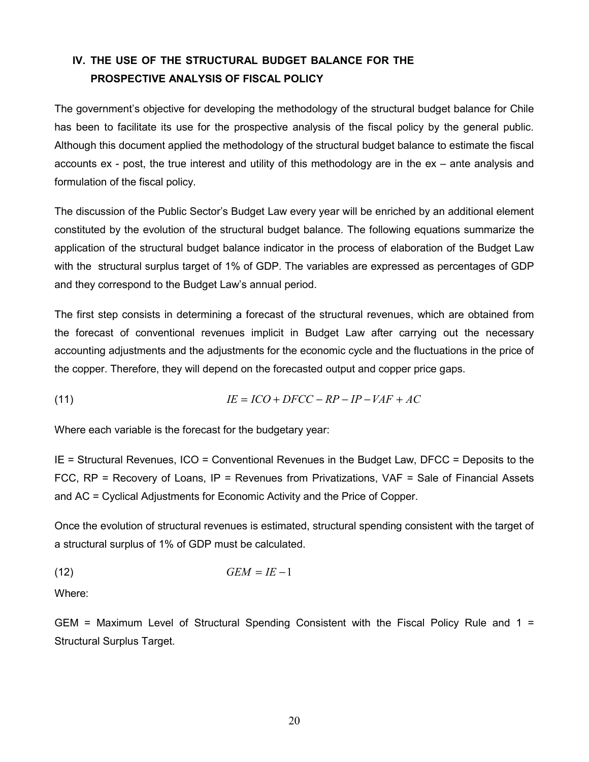# **IV. THE USE OF THE STRUCTURAL BUDGET BALANCE FOR THE PROSPECTIVE ANALYSIS OF FISCAL POLICY**

The government's objective for developing the methodology of the structural budget balance for Chile has been to facilitate its use for the prospective analysis of the fiscal policy by the general public. Although this document applied the methodology of the structural budget balance to estimate the fiscal accounts ex - post, the true interest and utility of this methodology are in the ex – ante analysis and formulation of the fiscal policy.

The discussion of the Public Sector's Budget Law every year will be enriched by an additional element constituted by the evolution of the structural budget balance. The following equations summarize the application of the structural budget balance indicator in the process of elaboration of the Budget Law with the structural surplus target of 1% of GDP. The variables are expressed as percentages of GDP and they correspond to the Budget Law's annual period.

The first step consists in determining a forecast of the structural revenues, which are obtained from the forecast of conventional revenues implicit in Budget Law after carrying out the necessary accounting adjustments and the adjustments for the economic cycle and the fluctuations in the price of the copper. Therefore, they will depend on the forecasted output and copper price gaps.

$$
(11) \tIE = ICO + DFCC - RP - IP - VAF + AC
$$

Where each variable is the forecast for the budgetary year:

IE = Structural Revenues, ICO = Conventional Revenues in the Budget Law, DFCC = Deposits to the FCC, RP = Recovery of Loans, IP = Revenues from Privatizations, VAF = Sale of Financial Assets and AC = Cyclical Adjustments for Economic Activity and the Price of Copper.

Once the evolution of structural revenues is estimated, structural spending consistent with the target of a structural surplus of 1% of GDP must be calculated.

(12) *GEM* = *IE* −1

Where:

GEM = Maximum Level of Structural Spending Consistent with the Fiscal Policy Rule and 1 = Structural Surplus Target.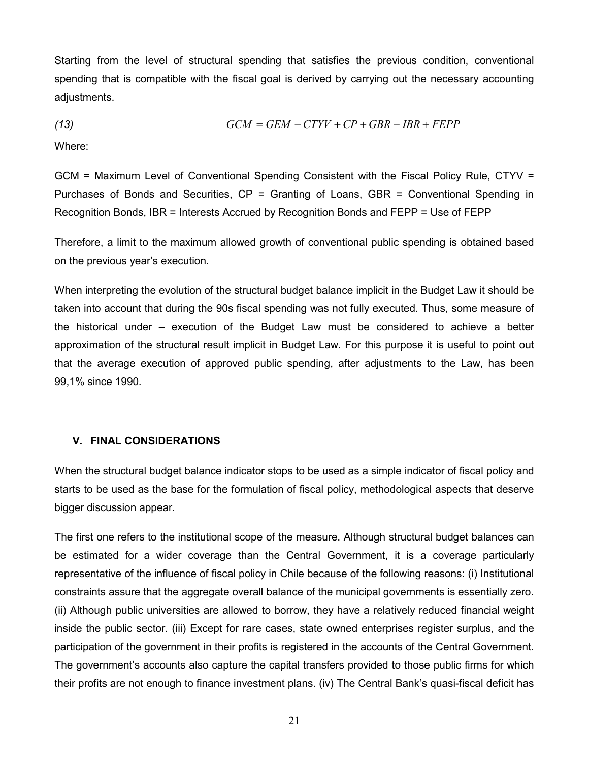Starting from the level of structural spending that satisfies the previous condition, conventional spending that is compatible with the fiscal goal is derived by carrying out the necessary accounting adjustments.

$$
(13)\qquad GCM = GEM - CTYV + CP + GBR - IBR + FEPP
$$

Where:

GCM = Maximum Level of Conventional Spending Consistent with the Fiscal Policy Rule, CTYV = Purchases of Bonds and Securities,  $CP =$  Granting of Loans, GBR = Conventional Spending in Recognition Bonds, IBR = Interests Accrued by Recognition Bonds and FEPP = Use of FEPP

Therefore, a limit to the maximum allowed growth of conventional public spending is obtained based on the previous year's execution.

When interpreting the evolution of the structural budget balance implicit in the Budget Law it should be taken into account that during the 90s fiscal spending was not fully executed. Thus, some measure of the historical under – execution of the Budget Law must be considered to achieve a better approximation of the structural result implicit in Budget Law. For this purpose it is useful to point out that the average execution of approved public spending, after adjustments to the Law, has been 99,1% since 1990.

#### **V. FINAL CONSIDERATIONS**

When the structural budget balance indicator stops to be used as a simple indicator of fiscal policy and starts to be used as the base for the formulation of fiscal policy, methodological aspects that deserve bigger discussion appear.

The first one refers to the institutional scope of the measure. Although structural budget balances can be estimated for a wider coverage than the Central Government, it is a coverage particularly representative of the influence of fiscal policy in Chile because of the following reasons: (i) Institutional constraints assure that the aggregate overall balance of the municipal governments is essentially zero. (ii) Although public universities are allowed to borrow, they have a relatively reduced financial weight inside the public sector. (iii) Except for rare cases, state owned enterprises register surplus, and the participation of the government in their profits is registered in the accounts of the Central Government. The government's accounts also capture the capital transfers provided to those public firms for which their profits are not enough to finance investment plans. (iv) The Central Bank's quasi-fiscal deficit has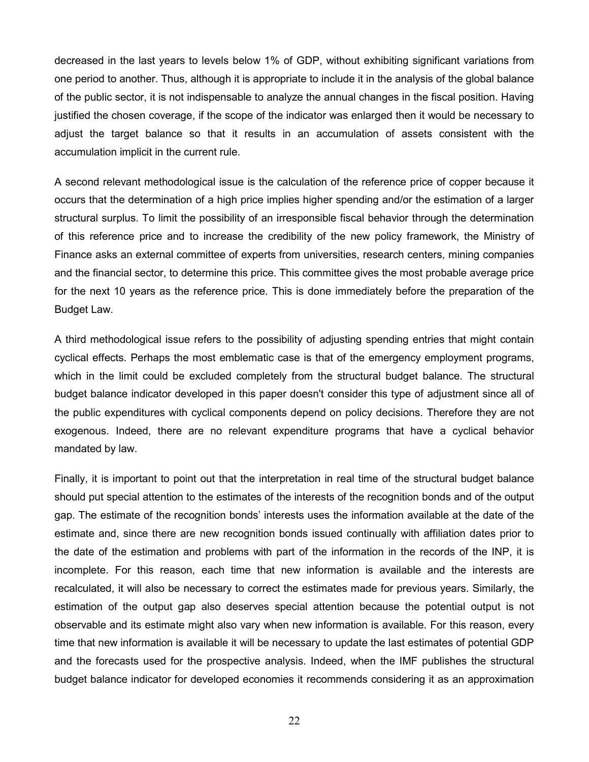decreased in the last years to levels below 1% of GDP, without exhibiting significant variations from one period to another. Thus, although it is appropriate to include it in the analysis of the global balance of the public sector, it is not indispensable to analyze the annual changes in the fiscal position. Having justified the chosen coverage, if the scope of the indicator was enlarged then it would be necessary to adjust the target balance so that it results in an accumulation of assets consistent with the accumulation implicit in the current rule.

A second relevant methodological issue is the calculation of the reference price of copper because it occurs that the determination of a high price implies higher spending and/or the estimation of a larger structural surplus. To limit the possibility of an irresponsible fiscal behavior through the determination of this reference price and to increase the credibility of the new policy framework, the Ministry of Finance asks an external committee of experts from universities, research centers, mining companies and the financial sector, to determine this price. This committee gives the most probable average price for the next 10 years as the reference price. This is done immediately before the preparation of the Budget Law.

A third methodological issue refers to the possibility of adjusting spending entries that might contain cyclical effects. Perhaps the most emblematic case is that of the emergency employment programs, which in the limit could be excluded completely from the structural budget balance. The structural budget balance indicator developed in this paper doesn't consider this type of adjustment since all of the public expenditures with cyclical components depend on policy decisions. Therefore they are not exogenous. Indeed, there are no relevant expenditure programs that have a cyclical behavior mandated by law.

Finally, it is important to point out that the interpretation in real time of the structural budget balance should put special attention to the estimates of the interests of the recognition bonds and of the output gap. The estimate of the recognition bonds' interests uses the information available at the date of the estimate and, since there are new recognition bonds issued continually with affiliation dates prior to the date of the estimation and problems with part of the information in the records of the INP, it is incomplete. For this reason, each time that new information is available and the interests are recalculated, it will also be necessary to correct the estimates made for previous years. Similarly, the estimation of the output gap also deserves special attention because the potential output is not observable and its estimate might also vary when new information is available. For this reason, every time that new information is available it will be necessary to update the last estimates of potential GDP and the forecasts used for the prospective analysis. Indeed, when the IMF publishes the structural budget balance indicator for developed economies it recommends considering it as an approximation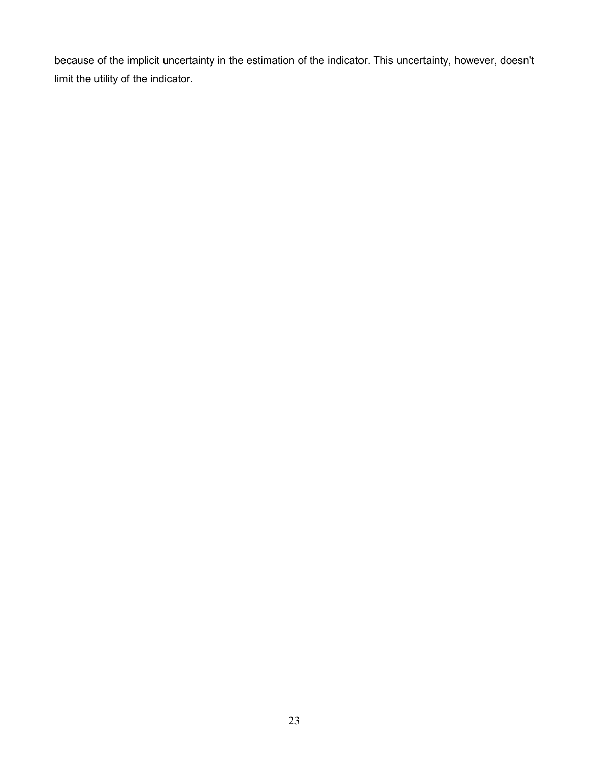because of the implicit uncertainty in the estimation of the indicator. This uncertainty, however, doesn't limit the utility of the indicator.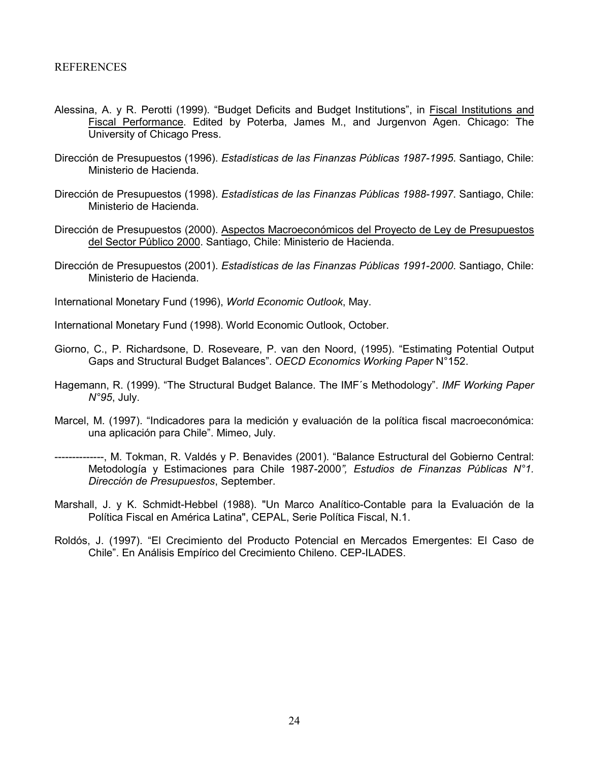#### REFERENCES

- Alessina, A. y R. Perotti (1999). "Budget Deficits and Budget Institutions", in Fiscal Institutions and Fiscal Performance. Edited by Poterba, James M., and Jurgenvon Agen. Chicago: The University of Chicago Press.
- Dirección de Presupuestos (1996). *Estadísticas de las Finanzas Públicas 1987-1995*. Santiago, Chile: Ministerio de Hacienda.
- Dirección de Presupuestos (1998). *Estadísticas de las Finanzas Públicas 1988-1997*. Santiago, Chile: Ministerio de Hacienda.
- Dirección de Presupuestos (2000). Aspectos Macroeconómicos del Proyecto de Ley de Presupuestos del Sector Público 2000. Santiago, Chile: Ministerio de Hacienda.
- Dirección de Presupuestos (2001). *Estadísticas de las Finanzas Públicas 1991-2000*. Santiago, Chile: Ministerio de Hacienda.
- International Monetary Fund (1996), *World Economic Outlook*, May.
- International Monetary Fund (1998). World Economic Outlook, October.
- Giorno, C., P. Richardsone, D. Roseveare, P. van den Noord, (1995). "Estimating Potential Output Gaps and Structural Budget Balances". *OECD Economics Working Paper* N°152.
- Hagemann, R. (1999). "The Structural Budget Balance. The IMF´s Methodology". *IMF Working Paper N°95*, July.
- Marcel, M. (1997). "Indicadores para la medición y evaluación de la política fiscal macroeconómica: una aplicación para Chile". Mimeo, July.
- --------------, M. Tokman, R. Valdés y P. Benavides (2001). "Balance Estructural del Gobierno Central: Metodología y Estimaciones para Chile 1987-2000*", Estudios de Finanzas Públicas N°1. Dirección de Presupuestos*, September.
- Marshall, J. y K. Schmidt-Hebbel (1988). "Un Marco Analítico-Contable para la Evaluación de la Política Fiscal en América Latina", CEPAL, Serie Política Fiscal, N.1.
- Roldós, J. (1997). "El Crecimiento del Producto Potencial en Mercados Emergentes: El Caso de Chile". En Análisis Empírico del Crecimiento Chileno. CEP-ILADES.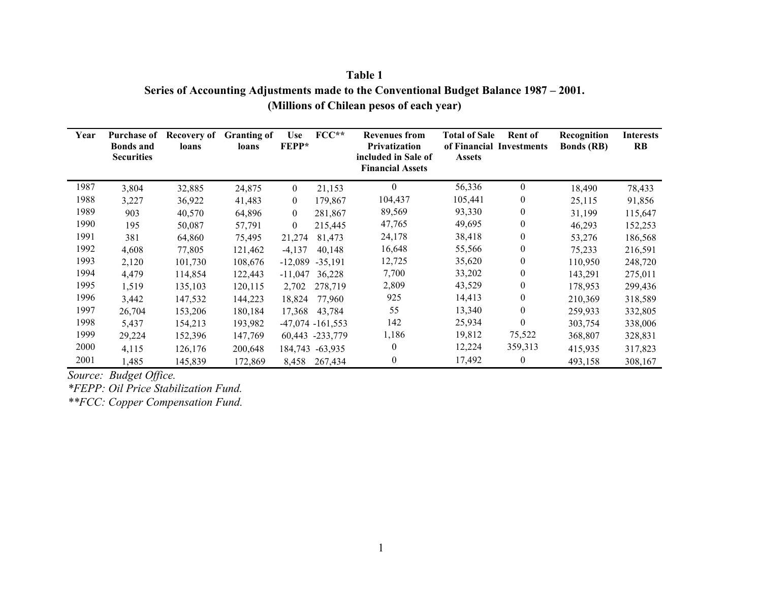| Table 1                                                                               |
|---------------------------------------------------------------------------------------|
| Series of Accounting Adjustments made to the Conventional Budget Balance 1987 – 2001. |
| (Millions of Chilean pesos of each year)                                              |

| Year | <b>Purchase of</b><br><b>Bonds and</b> | Recovery of<br>loans | <b>Granting of</b><br>loans | <b>Use</b><br><b>FEPP*</b> | $FCC**$              | <b>Revenues from</b><br>Privatization          | <b>Total of Sale</b><br><b>Rent of</b><br>of Financial Investments |                  | Recognition<br><b>Bonds</b> (RB) | <b>Interests</b><br><b>RB</b> |
|------|----------------------------------------|----------------------|-----------------------------|----------------------------|----------------------|------------------------------------------------|--------------------------------------------------------------------|------------------|----------------------------------|-------------------------------|
|      | <b>Securities</b>                      |                      |                             |                            |                      | included in Sale of<br><b>Financial Assets</b> | <b>Assets</b>                                                      |                  |                                  |                               |
| 1987 | 3,804                                  | 32,885               | 24,875                      | $\boldsymbol{0}$           | 21,153               | $\Omega$                                       | 56,336                                                             | $\theta$         | 18,490                           | 78,433                        |
| 1988 | 3,227                                  | 36,922               | 41,483                      | $\boldsymbol{0}$           | 179,867              | 104,437                                        | 105,441                                                            | $\boldsymbol{0}$ | 25,115                           | 91,856                        |
| 1989 | 903                                    | 40,570               | 64,896                      | $\mathbf{0}$               | 281,867              | 89,569                                         | 93,330                                                             | $\boldsymbol{0}$ | 31,199                           | 115,647                       |
| 1990 | 195                                    | 50,087               | 57,791                      | $\boldsymbol{0}$           | 215,445              | 47,765                                         | 49,695                                                             | $\boldsymbol{0}$ | 46,293                           | 152,253                       |
| 1991 | 381                                    | 64,860               | 75,495                      | 21,274                     | 81,473               | 24,178                                         | 38,418                                                             | 0                | 53,276                           | 186,568                       |
| 1992 | 4,608                                  | 77,805               | 121,462                     | $-4,137$                   | 40,148               | 16,648                                         | 55,566                                                             | $\boldsymbol{0}$ | 75,233                           | 216,591                       |
| 1993 | 2,120                                  | 101,730              | 108,676                     | $-12,089$                  | $-35.191$            | 12,725                                         | 35,620                                                             | $\boldsymbol{0}$ | 110,950                          | 248,720                       |
| 1994 | 4,479                                  | 114,854              | 122,443                     | $-11,047$                  | 36,228               | 7,700                                          | 33,202                                                             | 0                | 143,291                          | 275,011                       |
| 1995 | 1,519                                  | 135,103              | 120,115                     | 2,702                      | 278,719              | 2,809                                          | 43,529                                                             | $\boldsymbol{0}$ | 178,953                          | 299,436                       |
| 1996 | 3,442                                  | 147,532              | 144,223                     | 18,824                     | 77,960               | 925                                            | 14,413                                                             | $\boldsymbol{0}$ | 210,369                          | 318,589                       |
| 1997 | 26,704                                 | 153,206              | 180,184                     | 17,368                     | 43,784               | 55                                             | 13,340                                                             | $\mathbf{0}$     | 259,933                          | 332,805                       |
| 1998 | 5,437                                  | 154,213              | 193,982                     |                            | $-47,074$ $-161,553$ | 142                                            | 25,934                                                             | $\theta$         | 303,754                          | 338,006                       |
| 1999 | 29,224                                 | 152,396              | 147,769                     |                            | 60,443 -233,779      | 1,186                                          | 19,812                                                             | 75,522           | 368,807                          | 328,831                       |
| 2000 | 4,115                                  | 126,176              | 200,648                     |                            | 184,743 -63,935      | $\theta$                                       | 12,224                                                             | 359,313          | 415,935                          | 317,823                       |
| 2001 | 1,485                                  | 145,839              | 172,869                     | 8,458                      | 267,434              | $\theta$                                       | 17,492                                                             | 0                | 493,158                          | 308,167                       |

*Source: Budget Office.*

*\*FEPP: Oil Price Stabilization Fund.*

*\*\*FCC: Copper Compensation Fund.*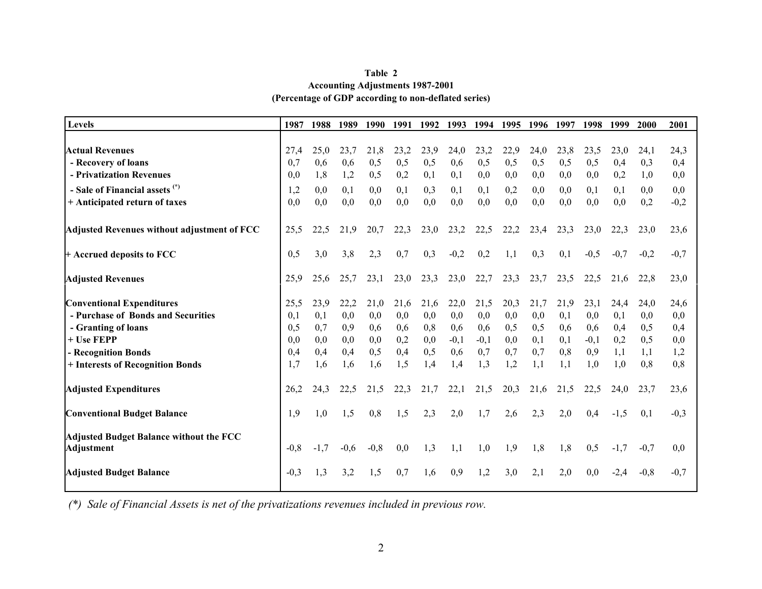| Table 2                                              |
|------------------------------------------------------|
| <b>Accounting Adjustments 1987-2001</b>              |
| (Percentage of GDP according to non-deflated series) |

| Levels                                                              | 1987   | 1988   | 1989   | 1990   | 1991 | 1992 | 1993   | 1994   | 1995 | 1996 | 1997 | 1998   | 1999   | <b>2000</b> | 2001   |
|---------------------------------------------------------------------|--------|--------|--------|--------|------|------|--------|--------|------|------|------|--------|--------|-------------|--------|
|                                                                     |        |        |        |        |      |      |        |        |      |      |      |        |        |             |        |
| <b>Actual Revenues</b>                                              | 27.4   | 25,0   | 23,7   | 21,8   | 23,2 | 23,9 | 24,0   | 23,2   | 22,9 | 24,0 | 23,8 | 23,5   | 23,0   | 24,1        | 24,3   |
| - Recovery of loans                                                 | 0.7    | 0,6    | 0,6    | 0,5    | 0,5  | 0,5  | 0,6    | 0,5    | 0,5  | 0,5  | 0,5  | 0,5    | 0,4    | 0.3         | 0,4    |
| - Privatization Revenues                                            | 0.0    | 1,8    | 1,2    | 0,5    | 0,2  | 0,1  | 0,1    | 0,0    | 0,0  | 0,0  | 0,0  | 0,0    | 0,2    | 1,0         | 0,0    |
| - Sale of Financial assets (*)                                      | 1,2    | 0,0    | 0,1    | 0,0    | 0,1  | 0,3  | 0,1    | 0,1    | 0,2  | 0,0  | 0,0  | 0,1    | 0,1    | 0.0         | 0,0    |
| + Anticipated return of taxes                                       | 0,0    | 0,0    | 0,0    | 0,0    | 0,0  | 0,0  | 0,0    | 0,0    | 0,0  | 0,0  | 0,0  | 0,0    | 0,0    | 0,2         | $-0,2$ |
| Adjusted Revenues without adjustment of FCC                         | 25,5   | 22,5   | 21,9   | 20,7   | 22,3 | 23,0 | 23,2   | 22,5   | 22,2 | 23,4 | 23,3 | 23,0   | 22,3   | 23,0        | 23,6   |
| $+$ Accrued deposits to FCC                                         | 0,5    | 3,0    | 3,8    | 2,3    | 0,7  | 0,3  | $-0,2$ | 0,2    | 1.1  | 0,3  | 0,1  | $-0,5$ | $-0,7$ | $-0.2$      | $-0,7$ |
| <b>Adjusted Revenues</b>                                            | 25,9   | 25,6   | 25,7   | 23,1   | 23,0 | 23,3 | 23,0   | 22,7   | 23,3 | 23,7 | 23,5 | 22,5   | 21,6   | 22,8        | 23,0   |
| <b>Conventional Expenditures</b>                                    | 25,5   | 23,9   | 22,2   | 21,0   | 21,6 | 21,6 | 22,0   | 21,5   | 20,3 | 21,7 | 21,9 | 23,1   | 24,4   | 24,0        | 24,6   |
| - Purchase of Bonds and Securities                                  | 0,1    | 0,1    | 0,0    | 0,0    | 0,0  | 0,0  | 0,0    | 0,0    | 0,0  | 0,0  | 0,1  | 0,0    | 0,1    | 0.0         | 0,0    |
| - Granting of loans                                                 | 0,5    | 0,7    | 0,9    | 0,6    | 0,6  | 0,8  | 0,6    | 0,6    | 0,5  | 0,5  | 0,6  | 0,6    | 0,4    | 0,5         | 0,4    |
| + Use FEPP                                                          | 0.0    | 0,0    | 0,0    | 0,0    | 0,2  | 0,0  | $-0,1$ | $-0,1$ | 0,0  | 0,1  | 0,1  | $-0,1$ | 0,2    | 0,5         | 0,0    |
| - Recognition Bonds                                                 | 0,4    | 0,4    | 0,4    | 0,5    | 0,4  | 0,5  | 0,6    | 0,7    | 0.7  | 0,7  | 0,8  | 0,9    | 1,1    | 1,1         | 1,2    |
| + Interests of Recognition Bonds                                    | 1,7    | 1,6    | 1,6    | 1,6    | 1,5  | 1,4  | 1,4    | 1,3    | 1,2  | 1,1  | 1,1  | 1,0    | 1,0    | 0.8         | 0,8    |
| <b>Adjusted Expenditures</b>                                        | 26,2   | 24,3   | 22,5   | 21,5   | 22,3 | 21,7 | 22,1   | 21,5   | 20,3 | 21,6 | 21,5 | 22,5   | 24,0   | 23,7        | 23,6   |
| <b>Conventional Budget Balance</b>                                  | 1,9    | 1,0    | 1,5    | 0.8    | 1,5  | 2,3  | 2,0    | 1,7    | 2,6  | 2,3  | 2,0  | 0,4    | $-1,5$ | 0.1         | $-0,3$ |
| <b>Adjusted Budget Balance without the FCC</b><br><b>Adjustment</b> | $-0.8$ | $-1,7$ | $-0.6$ | $-0,8$ | 0,0  | 1,3  | 1,1    | 1,0    | 1,9  | 1,8  | 1,8  | 0,5    | $-1,7$ | $-0.7$      | 0,0    |
| <b>Adjusted Budget Balance</b>                                      | $-0.3$ | 1,3    | 3,2    | 1.5    | 0.7  | 1.6  | 0,9    | 1,2    | 3,0  | 2,1  | 2,0  | 0,0    | $-2,4$ | $-0.8$      | $-0,7$ |

*(\*) Sale of Financial Assets is net of the privatizations revenues included in previous row.*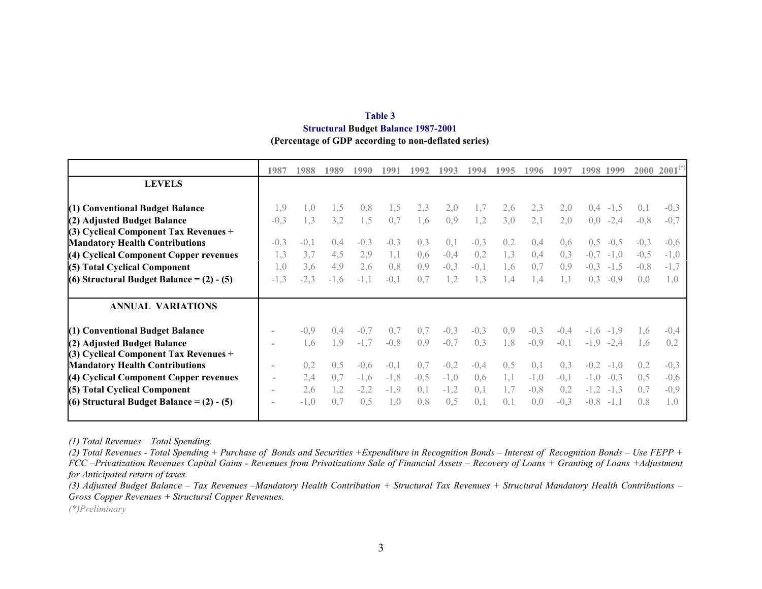| Table 3                                              |
|------------------------------------------------------|
| <b>Structural Budget Balance 1987-2001</b>           |
| (Percentage of GDP according to non-deflated series) |

|                                               | 1987   | 1988   | 1989   | 1990   | 1991           | 1992   | 1993   | 1994   | 1995      | 1996   | 199'   | 1998   | 1999   | 2000           | 2001   |
|-----------------------------------------------|--------|--------|--------|--------|----------------|--------|--------|--------|-----------|--------|--------|--------|--------|----------------|--------|
| <b>LEVELS</b>                                 |        |        |        |        |                |        |        |        |           |        |        |        |        |                |        |
| (1) Conventional Budget Balance               | 1,9    | 1.0    | 1.5    | 0,8    | 1.5            | 2,3    | 2,0    | 1,7    | 2,6       | 2,3    | 2,0    | 0.4    | $-1,5$ | (0, 1)         | $-0.3$ |
| (2) Adjusted Budget Balance                   | $-0,3$ | 1.3    | 3,2    | 1,5    | 0,7            | 1,6    | 0,9    | 1,2    | 3.0       | 2,1    | 2,0    | 0,0    | $-2,4$ | $-0.8$         | $-0.7$ |
| $(3)$ Cyclical Component Tax Revenues +       |        |        |        |        |                |        |        |        |           |        |        |        |        |                |        |
| <b>Mandatory Health Contributions</b>         | $-0,3$ | $-0.1$ | 0.4    | $-0,3$ | $-0.3$         | 0.3    | 0,1    | $-0,3$ | 0.2       | 0.4    | 0.6    | 0.5    | $-0.5$ | $-0.3$         | $-0.6$ |
| (4) Cyclical Component Copper revenues        | 1,3    | 3.7    | 4,5    | 2,9    | 1,1            | 0,6    | $-0,4$ | 0,2    | 1.3       | 0,4    | 0,3    |        | $-1,0$ | $-0.5$         | $-1,0$ |
| (5) Total Cyclical Component                  | 1.0    | 3.6    | 4,9    | 2,6    | 0.8            | 0.9    | $-0,3$ | $-0,1$ | $\cdot$ 6 | 0.7    | 0.9    | $-0.3$ | $-1.5$ | $-0.8$         | $-1.7$ |
| (6) Structural Budget Balance = $(2)$ - $(5)$ | $-1,3$ | $-2,3$ | $-1,6$ | $-1,1$ | $-0.1$         | 0.7    | 1,2    | 1,3    | .4        | 1.4    | 1.1    | 0.3    | $-0.9$ | 0.0            | 1.0    |
| <b>ANNUAL VARIATIONS</b>                      |        |        |        |        |                |        |        |        |           |        |        |        |        |                |        |
| (1) Conventional Budget Balance               |        | $-0.9$ | 0.4    | $-0.7$ | 0 <sub>7</sub> | 0.7    | $-0,3$ | $-0,3$ | 0.9       | $-0,3$ | $-0.4$ | $-1.6$ |        | $\overline{6}$ | $-0.4$ |
| (2) Adjusted Budget Balance                   |        | 1.6    | 1.9    | $-1,7$ | $-0.8$         | 0.9    | $-0,7$ | 0,3    | 1.8       | $-0,9$ | $-0,1$ | $-1,9$ | $-2,4$ | 1.6            | 0.2    |
| (3) Cyclical Component Tax Revenues +         |        |        |        |        |                |        |        |        |           |        |        |        |        |                |        |
| <b>Mandatory Health Contributions</b>         |        | 0,2    | 0,5    | $-0.6$ | $-()$          | 0.7    | $-0,2$ | $-0.4$ | 0.5       | (0.1)  | 0,3    | $-0.2$ | $-1.0$ | 0,2            | $-0,3$ |
| (4) Cyclical Component Copper revenues        |        | 2,4    | 0.7    | $-1,6$ | $-1,8$         | $-0,5$ | $-1,0$ | 0,6    |           | $-1,0$ | $-0,1$ | $-1,0$ | $-0.3$ | 0.5            | $-0.6$ |
| (5) Total Cyclical Component                  |        | 2.6    |        | $-2,2$ | $-1.9$         | 0,1    | $-1,2$ | 0,1    | 1.7       | $-0,8$ | 0,2    |        | $-1.3$ | 0.7            | $-0.9$ |
| (6) Structural Budget Balance = $(2)$ - $(5)$ |        | $-1,0$ | 0.7    | 0.5    | 1.0            | 0.8    | 0,5    | 0,1    | 0,1       | 0.0    | $-0,3$ | $-0.8$ | $-1,1$ | 0.8            | 1,0    |

*(1) Total Revenues – Total Spending.*

*(2) Total Revenues - Total Spending + Purchase of Bonds and Securities +Expenditure in Recognition Bonds – Interest of Recognition Bonds – Use FEPP + FCC –Privatization Revenues Capital Gains - Revenues from Privatizations Sale of Financial Assets – Recovery of Loans + Granting of Loans +Adjustment for Anticipated return of taxes.*

*(3) Adjusted Budget Balance – Tax Revenues –Mandatory Health Contribution + Structural Tax Revenues + Structural Mandatory Health Contributions – Gross Copper Revenues + Structural Copper Revenues.*

*(\*)Preliminary*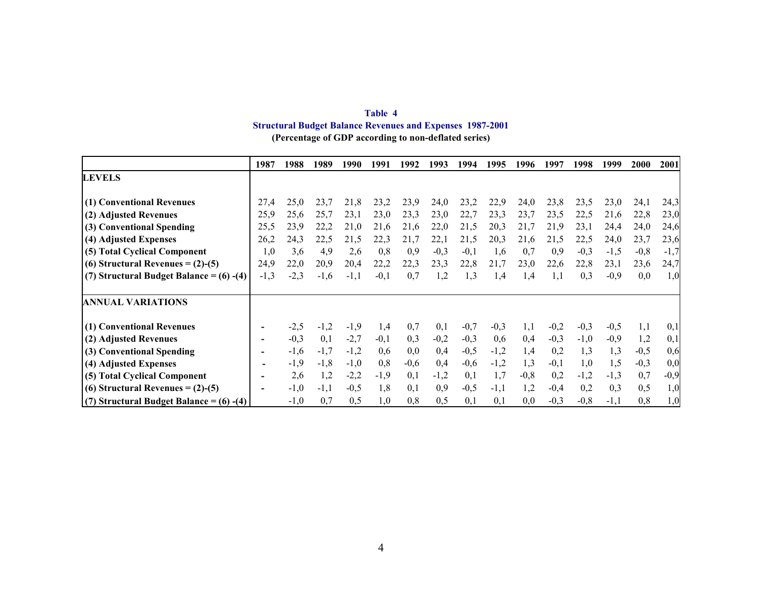| Table 4                                                          |  |
|------------------------------------------------------------------|--|
| <b>Structural Budget Balance Revenues and Expenses 1987-2001</b> |  |
| (Percentage of GDP according to non-deflated series)             |  |

|                                               | 1987   | 1988   | 1989   | 1990   | 1991   | 1992   | 1993   | 1994   | 1995   | 1996   | 1997   | 1998   | 1999   | 2000   | 2001   |
|-----------------------------------------------|--------|--------|--------|--------|--------|--------|--------|--------|--------|--------|--------|--------|--------|--------|--------|
| <b>LEVELS</b>                                 |        |        |        |        |        |        |        |        |        |        |        |        |        |        |        |
|                                               |        |        |        |        |        |        |        |        |        |        |        |        |        |        |        |
| (1) Conventional Revenues                     | 27,4   | 25,0   | 23,7   | 21,8   | 23,2   | 23,9   | 24,0   | 23,2   | 22,9   | 24,0   | 23,8   | 23,5   | 23,0   | 24,1   | 24,3   |
| (2) Adjusted Revenues                         | 25,9   | 25,6   | 25,7   | 23,1   | 23,0   | 23,3   | 23,0   | 22,7   | 23,3   | 23,7   | 23,5   | 22,5   | 21,6   | 22,8   | 23,0   |
| (3) Conventional Spending                     | 25,5   | 23,9   | 22,2   | 21,0   | 21,6   | 21,6   | 22,0   | 21,5   | 20,3   | 21,7   | 21,9   | 23,1   | 24,4   | 24,0   | 24,6   |
| (4) Adjusted Expenses                         | 26,2   | 24,3   | 22,5   | 21,5   | 22,3   | 21,7   | 22,1   | 21,5   | 20,3   | 21,6   | 21,5   | 22,5   | 24,0   | 23,7   | 23,6   |
| (5) Total Cyclical Component                  | 1,0    | 3,6    | 4,9    | 2,6    | 0,8    | 0.9    | $-0,3$ | $-0,1$ | 1,6    | 0,7    | 0,9    | $-0,3$ | $-1,5$ | $-0,8$ | $-1,7$ |
| (6) Structural Revenues = $(2)-(5)$           | 24,9   | 22,0   | 20,9   | 20,4   | 22,2   | 22,3   | 23,3   | 22,8   | 21,7   | 23,0   | 22,6   | 22,8   | 23,1   | 23,6   | 24,7   |
| (7) Structural Budget Balance = $(6)$ - $(4)$ | $-1,3$ | $-2.3$ | $-1.6$ | $-1,1$ | $-0,1$ | 0.7    | 1,2    | 1,3    | 1,4    | 1.4    | 1,1    | 0.3    | $-0,9$ | 0,0    | 1,0    |
|                                               |        |        |        |        |        |        |        |        |        |        |        |        |        |        |        |
| <b>ANNUAL VARIATIONS</b>                      |        |        |        |        |        |        |        |        |        |        |        |        |        |        |        |
| (1) Conventional Revenues                     |        | $-2,5$ | $-1,2$ | $-1,9$ | 1,4    | 0,7    | 0,1    | $-0,7$ | $-0,3$ | 1,1    | $-0,2$ | $-0,3$ | $-0,5$ | 1,1    | 0,1    |
| (2) Adjusted Revenues                         |        | $-0,3$ | 0,1    | $-2,7$ | $-0,1$ | 0.3    | $-0,2$ | $-0,3$ | 0,6    | 0,4    | $-0,3$ | $-1,0$ | $-0,9$ | 1,2    | 0,1    |
| (3) Conventional Spending                     |        | $-1,6$ | $-1,7$ | $-1,2$ | 0.6    | 0.0    | 0,4    | $-0,5$ | $-1,2$ | 1,4    | 0,2    | 1.3    | 1,3    | $-0,5$ | 0,6    |
| (4) Adjusted Expenses                         |        | $-1,9$ | $-1,8$ | $-1,0$ | 0,8    | $-0,6$ | 0,4    | $-0,6$ | $-1,2$ | 1,3    | $-0,1$ | 1,0    | 1,5    | $-0,3$ | 0,0    |
| (5) Total Cyclical Component                  |        | 2,6    | 1,2    | $-2,2$ | $-1,9$ | 0.1    | $-1,2$ | 0,1    | 1,7    | $-0,8$ | 0,2    | $-1,2$ | $-1,3$ | 0,7    | $-0,9$ |
| (6) Structural Revenues = $(2)-(5)$           |        | $-1,0$ | $-1,1$ | $-0,5$ | 1,8    | 0.1    | 0,9    | $-0,5$ | $-1,1$ | 1,2    | $-0.4$ | 0,2    | 0,3    | 0,5    | 1,0    |
| (7) Structural Budget Balance = $(6)$ - $(4)$ |        | $-1,0$ | 0,7    | 0,5    | 1,0    | 0,8    | 0,5    | 0,1    | 0,1    | 0,0    | $-0,3$ | $-0,8$ | $-1,1$ | 0,8    | 1,0    |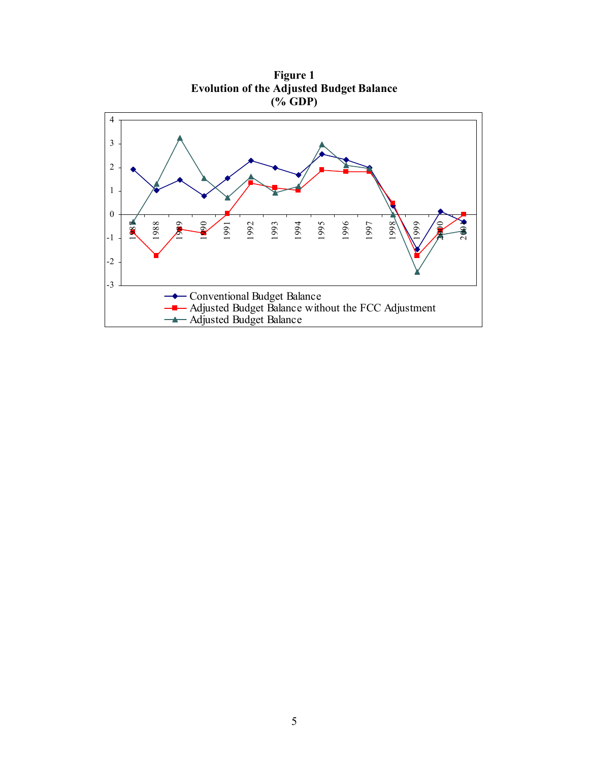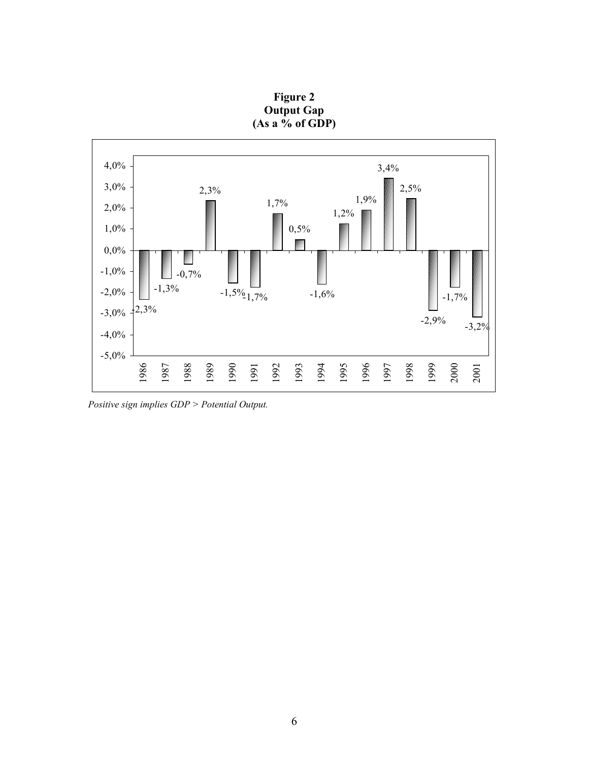

**Figure 2 Output Gap (As a % of GDP)**

 *Positive sign implies GDP > Potential Output.*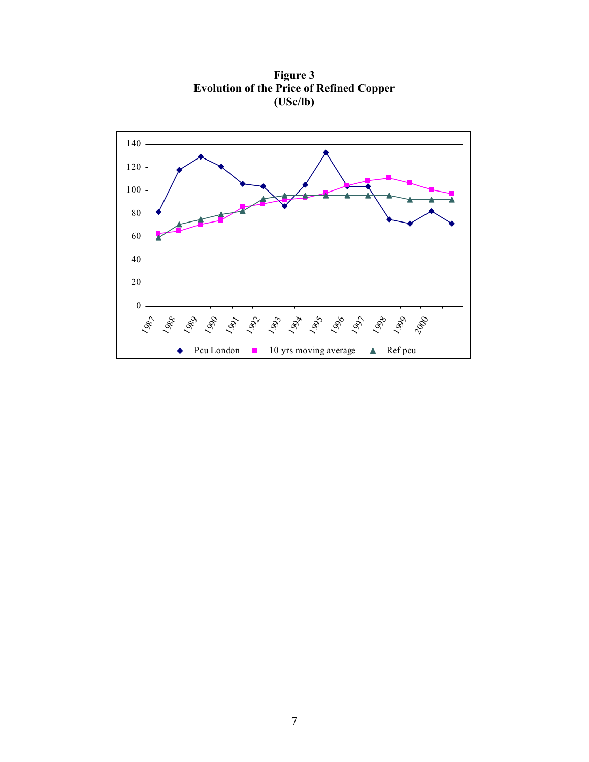

**Figure 3 Evolution of the Price of Refined Copper (USc/lb)**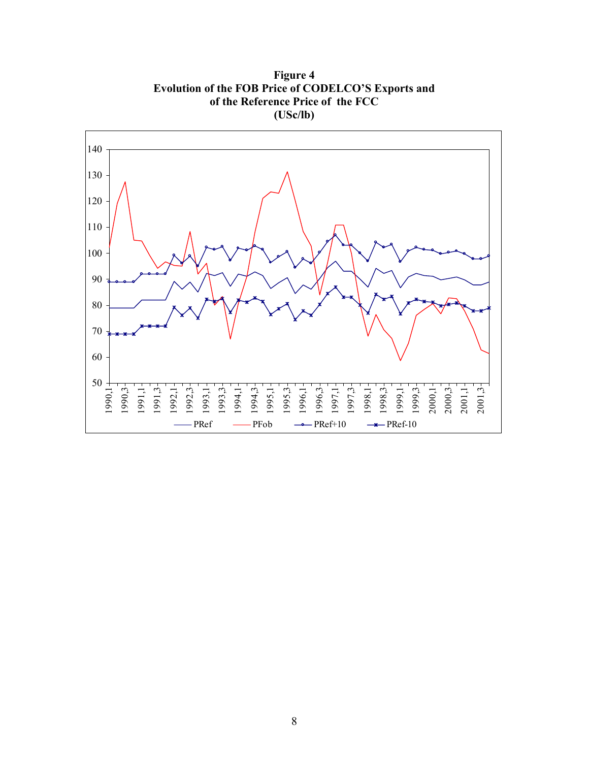**Figure 4 Evolution of the FOB Price of CODELCO'S Exports and of the Reference Price of the FCC (USc/lb)**

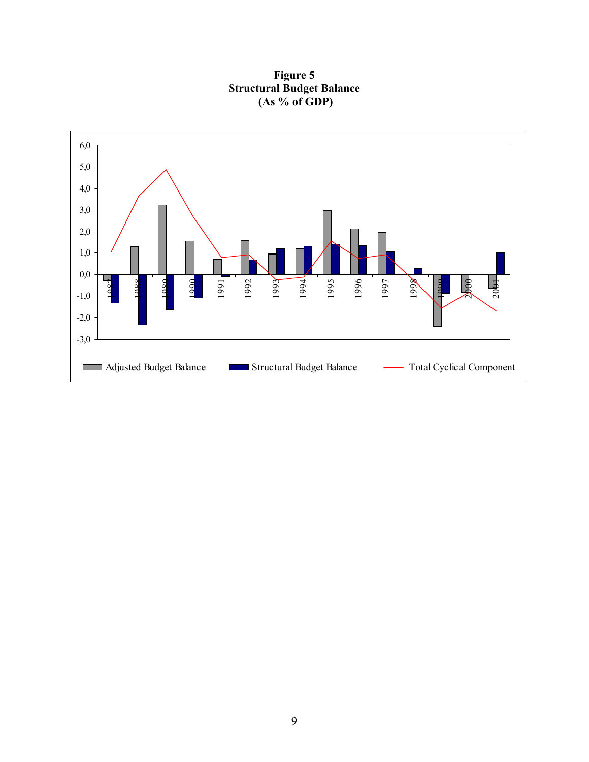**Figure 5 Structural Budget Balance (As % of GDP)**

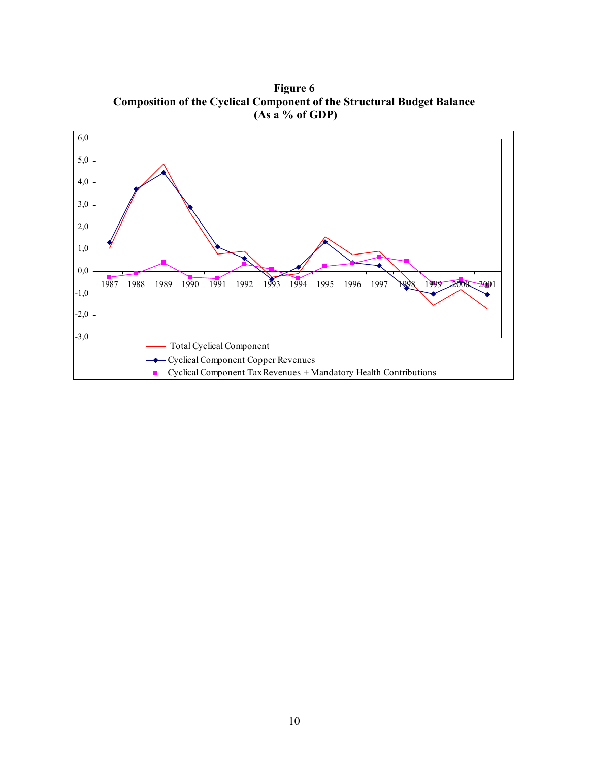**Figure 6 Composition of the Cyclical Component of the Structural Budget Balance (As a % of GDP)**